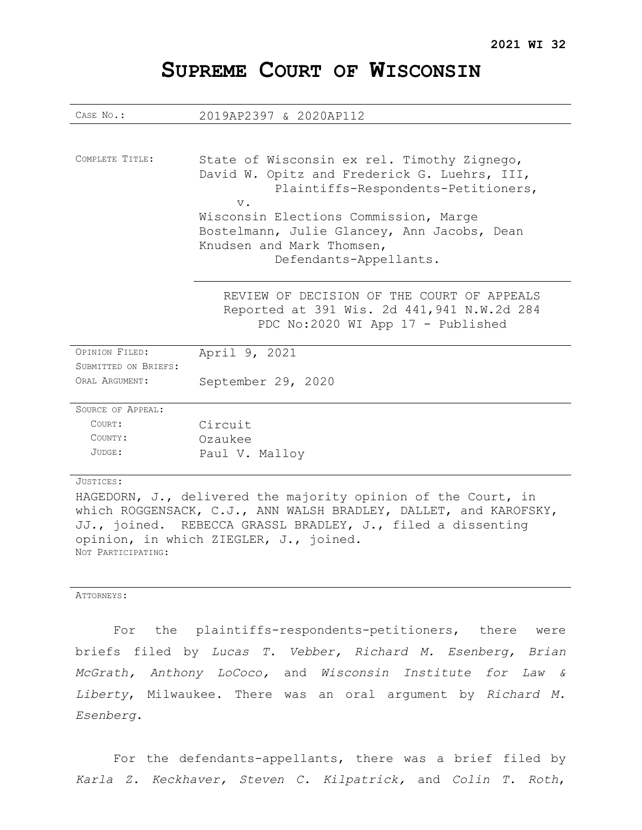# **SUPREME COURT OF WISCONSIN**

| CASE No.:                                                                                                                                                                                                                                  | 2019AP2397 & 2020AP112                                                                                                                                                                                                                                                                     |
|--------------------------------------------------------------------------------------------------------------------------------------------------------------------------------------------------------------------------------------------|--------------------------------------------------------------------------------------------------------------------------------------------------------------------------------------------------------------------------------------------------------------------------------------------|
|                                                                                                                                                                                                                                            |                                                                                                                                                                                                                                                                                            |
| COMPLETE TITLE:                                                                                                                                                                                                                            | State of Wisconsin ex rel. Timothy Zignego,<br>David W. Opitz and Frederick G. Luehrs, III,<br>Plaintiffs-Respondents-Petitioners,<br>$V$ .<br>Wisconsin Elections Commission, Marge<br>Bostelmann, Julie Glancey, Ann Jacobs, Dean<br>Knudsen and Mark Thomsen,<br>Defendants-Appellants. |
|                                                                                                                                                                                                                                            | REVIEW OF DECISION OF THE COURT OF APPEALS<br>Reported at 391 Wis. 2d 441, 941 N.W.2d 284<br>PDC No:2020 WI App 17 - Published                                                                                                                                                             |
| OPINION FILED:                                                                                                                                                                                                                             | April 9, 2021                                                                                                                                                                                                                                                                              |
| SUBMITTED ON BRIEFS:                                                                                                                                                                                                                       |                                                                                                                                                                                                                                                                                            |
| ORAL ARGUMENT:                                                                                                                                                                                                                             | September 29, 2020                                                                                                                                                                                                                                                                         |
| <b>SOURCE OF APPEAL:</b>                                                                                                                                                                                                                   |                                                                                                                                                                                                                                                                                            |
| COURT:                                                                                                                                                                                                                                     | Circuit                                                                                                                                                                                                                                                                                    |
| COUNTY:                                                                                                                                                                                                                                    | Ozaukee                                                                                                                                                                                                                                                                                    |
| $JUDGE$ :                                                                                                                                                                                                                                  | Paul V. Malloy                                                                                                                                                                                                                                                                             |
| JUSTICES:                                                                                                                                                                                                                                  |                                                                                                                                                                                                                                                                                            |
| HAGEDORN, J., delivered the majority opinion of the Court, in<br>which ROGGENSACK, C.J., ANN WALSH BRADLEY, DALLET, and KAROFSKY,<br>JJ., joined. REBECCA GRASSL BRADLEY, J., filed a dissenting<br>opinion, in which ZIEGLER, J., joined. |                                                                                                                                                                                                                                                                                            |

ATTORNEYS:

NOT PARTICIPATING:

For the plaintiffs-respondents-petitioners, there were briefs filed by *Lucas T. Vebber, Richard M. Esenberg, Brian McGrath, Anthony LoCoco,* and *Wisconsin Institute for Law & Liberty*, Milwaukee. There was an oral argument by *Richard M. Esenberg*.

For the defendants-appellants, there was a brief filed by *Karla Z. Keckhaver, Steven C. Kilpatrick,* and *Colin T. Roth*,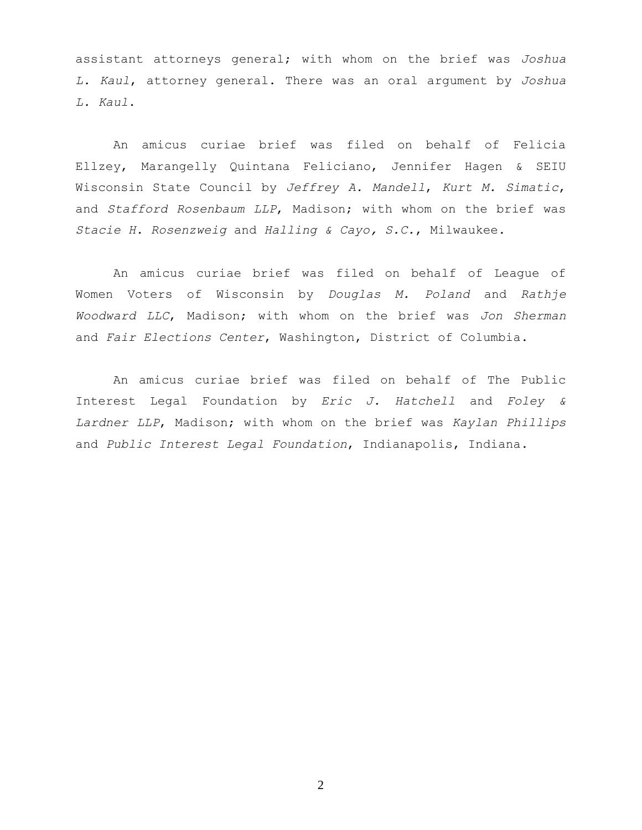assistant attorneys general; with whom on the brief was *Joshua L. Kaul*, attorney general. There was an oral argument by *Joshua L. Kaul*.

An amicus curiae brief was filed on behalf of Felicia Ellzey, Marangelly Quintana Feliciano, Jennifer Hagen & SEIU Wisconsin State Council by *Jeffrey A. Mandell*, *Kurt M. Simatic*, and *Stafford Rosenbaum LLP*, Madison; with whom on the brief was *Stacie H. Rosenzweig* and *Halling & Cayo, S.C.*, Milwaukee.

An amicus curiae brief was filed on behalf of League of Women Voters of Wisconsin by *Douglas M. Poland* and *Rathje Woodward LLC*, Madison; with whom on the brief was *Jon Sherman* and *Fair Elections Center*, Washington, District of Columbia.

An amicus curiae brief was filed on behalf of The Public Interest Legal Foundation by *Eric J. Hatchell* and *Foley & Lardner LLP*, Madison; with whom on the brief was *Kaylan Phillips* and *Public Interest Legal Foundation*, Indianapolis, Indiana.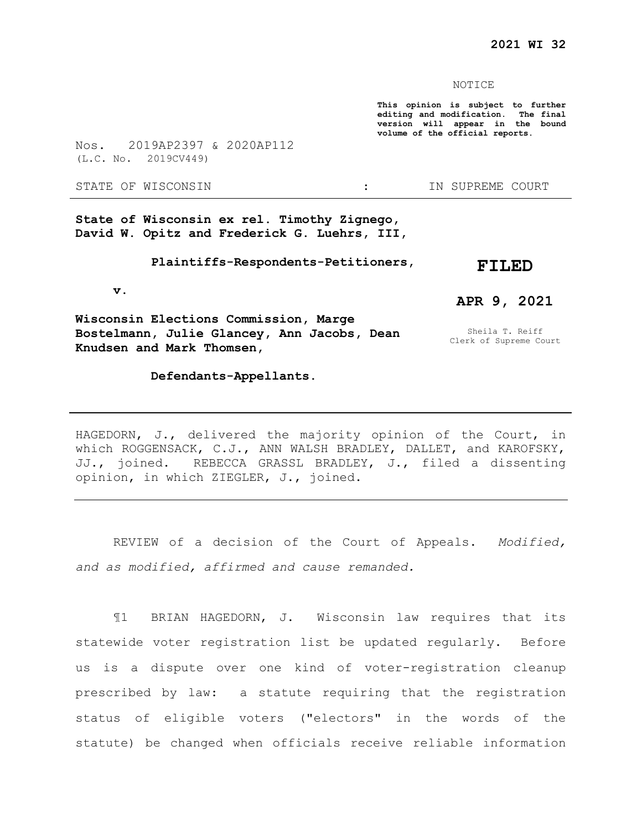#### NOTICE

**This opinion is subject to further editing and modification. The final version will appear in the bound volume of the official reports.** 

Nos. 2019AP2397 & 2020AP112 (L.C. No. 2019CV449)

STATE OF WISCONSIN  $\cdot$  in SUPREME COURT

**State of Wisconsin ex rel. Timothy Zignego, David W. Opitz and Frederick G. Luehrs, III,**

> **Plaintiffs-Respondents-Petitioners, FILED**

 **v.**

**Wisconsin Elections Commission, Marge Bostelmann, Julie Glancey, Ann Jacobs, Dean Knudsen and Mark Thomsen,**

 **Defendants-Appellants.**

Sheila T. Reiff

**APR 9, 2021**

Clerk of Supreme Court

HAGEDORN, J., delivered the majority opinion of the Court, in which ROGGENSACK, C.J., ANN WALSH BRADLEY, DALLET, and KAROFSKY, JJ., joined. REBECCA GRASSL BRADLEY, J., filed a dissenting opinion, in which ZIEGLER, J., joined.

REVIEW of a decision of the Court of Appeals. *Modified, and as modified, affirmed and cause remanded.*

¶1 BRIAN HAGEDORN, J. Wisconsin law requires that its statewide voter registration list be updated regularly. Before us is a dispute over one kind of voter-registration cleanup prescribed by law: a statute requiring that the registration status of eligible voters ("electors" in the words of the statute) be changed when officials receive reliable information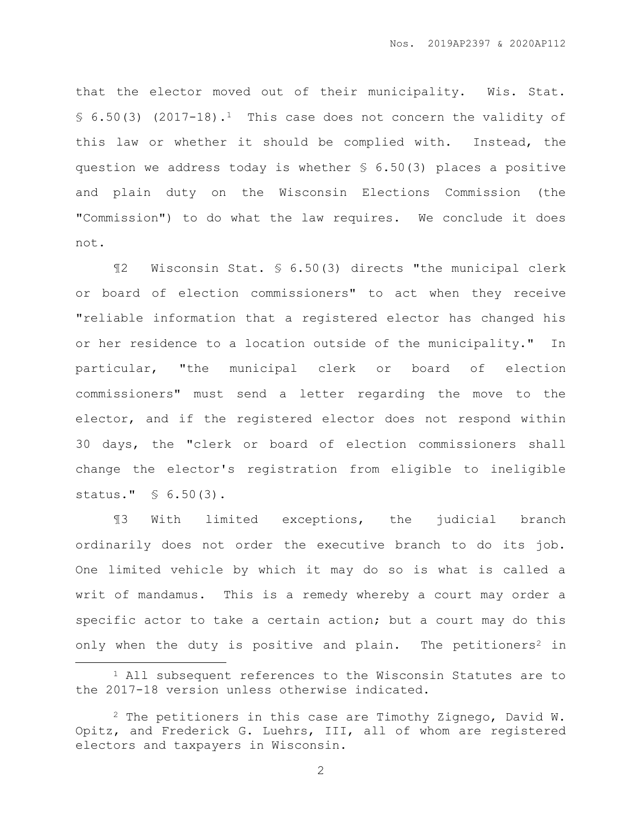that the elector moved out of their municipality. Wis. Stat.  $$6.50(3)$  (2017-18).<sup>1</sup> This case does not concern the validity of this law or whether it should be complied with. Instead, the question we address today is whether § 6.50(3) places a positive and plain duty on the Wisconsin Elections Commission (the "Commission") to do what the law requires. We conclude it does not.

¶2 Wisconsin Stat. § 6.50(3) directs "the municipal clerk or board of election commissioners" to act when they receive "reliable information that a registered elector has changed his or her residence to a location outside of the municipality." In particular, "the municipal clerk or board of election commissioners" must send a letter regarding the move to the elector, and if the registered elector does not respond within 30 days, the "clerk or board of election commissioners shall change the elector's registration from eligible to ineligible status." § 6.50(3).

¶3 With limited exceptions, the judicial branch ordinarily does not order the executive branch to do its job. One limited vehicle by which it may do so is what is called a writ of mandamus. This is a remedy whereby a court may order a specific actor to take a certain action; but a court may do this only when the duty is positive and plain. The petitioners<sup>2</sup> in

 $\overline{a}$ 

<sup>1</sup> All subsequent references to the Wisconsin Statutes are to the 2017-18 version unless otherwise indicated.

 $2$  The petitioners in this case are Timothy Zignego, David W. Opitz, and Frederick G. Luehrs, III, all of whom are registered electors and taxpayers in Wisconsin.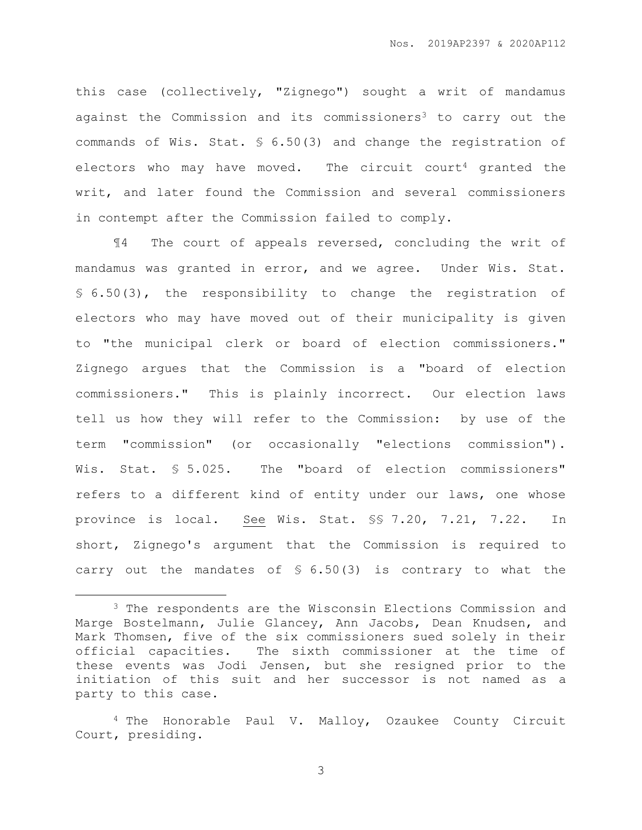this case (collectively, "Zignego") sought a writ of mandamus against the Commission and its commissioners<sup>3</sup> to carry out the commands of Wis. Stat. § 6.50(3) and change the registration of electors who may have moved. The circuit court<sup>4</sup> granted the writ, and later found the Commission and several commissioners in contempt after the Commission failed to comply.

¶4 The court of appeals reversed, concluding the writ of mandamus was granted in error, and we agree. Under Wis. Stat. § 6.50(3), the responsibility to change the registration of electors who may have moved out of their municipality is given to "the municipal clerk or board of election commissioners." Zignego argues that the Commission is a "board of election commissioners." This is plainly incorrect. Our election laws tell us how they will refer to the Commission: by use of the term "commission" (or occasionally "elections commission"). Wis. Stat. § 5.025. The "board of election commissioners" refers to a different kind of entity under our laws, one whose province is local. See Wis. Stat. §§ 7.20, 7.21, 7.22. In short, Zignego's argument that the Commission is required to carry out the mandates of § 6.50(3) is contrary to what the

 $\overline{a}$ 

<sup>3</sup> The respondents are the Wisconsin Elections Commission and Marge Bostelmann, Julie Glancey, Ann Jacobs, Dean Knudsen, and Mark Thomsen, five of the six commissioners sued solely in their official capacities. The sixth commissioner at the time of these events was Jodi Jensen, but she resigned prior to the initiation of this suit and her successor is not named as a party to this case.

<sup>4</sup> The Honorable Paul V. Malloy, Ozaukee County Circuit Court, presiding.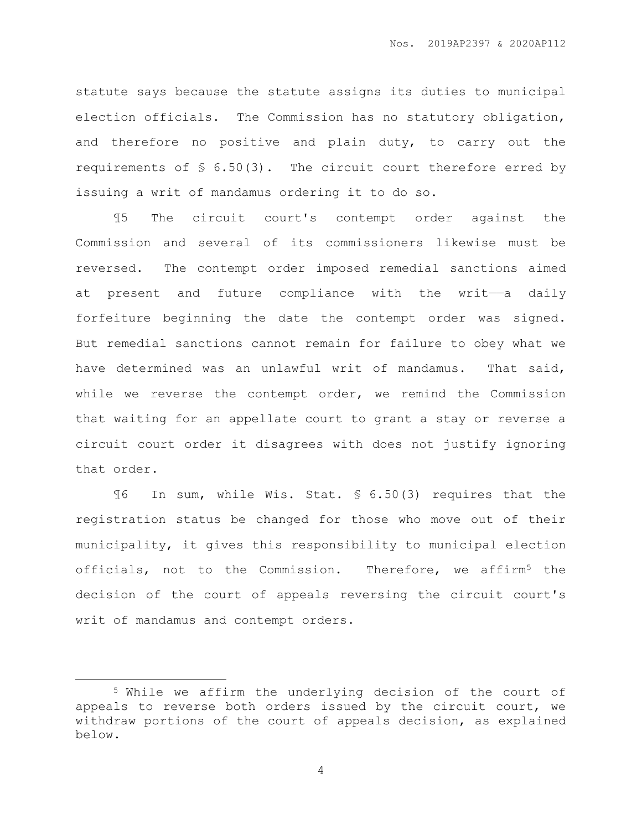statute says because the statute assigns its duties to municipal election officials. The Commission has no statutory obligation, and therefore no positive and plain duty, to carry out the requirements of § 6.50(3). The circuit court therefore erred by issuing a writ of mandamus ordering it to do so.

¶5 The circuit court's contempt order against the Commission and several of its commissioners likewise must be reversed. The contempt order imposed remedial sanctions aimed at present and future compliance with the writ——a daily forfeiture beginning the date the contempt order was signed. But remedial sanctions cannot remain for failure to obey what we have determined was an unlawful writ of mandamus. That said, while we reverse the contempt order, we remind the Commission that waiting for an appellate court to grant a stay or reverse a circuit court order it disagrees with does not justify ignoring that order.

¶6 In sum, while Wis. Stat. § 6.50(3) requires that the registration status be changed for those who move out of their municipality, it gives this responsibility to municipal election officials, not to the Commission. Therefore, we affirm<sup>5</sup> the decision of the court of appeals reversing the circuit court's writ of mandamus and contempt orders.

 $\overline{a}$ 

<sup>5</sup> While we affirm the underlying decision of the court of appeals to reverse both orders issued by the circuit court, we withdraw portions of the court of appeals decision, as explained below.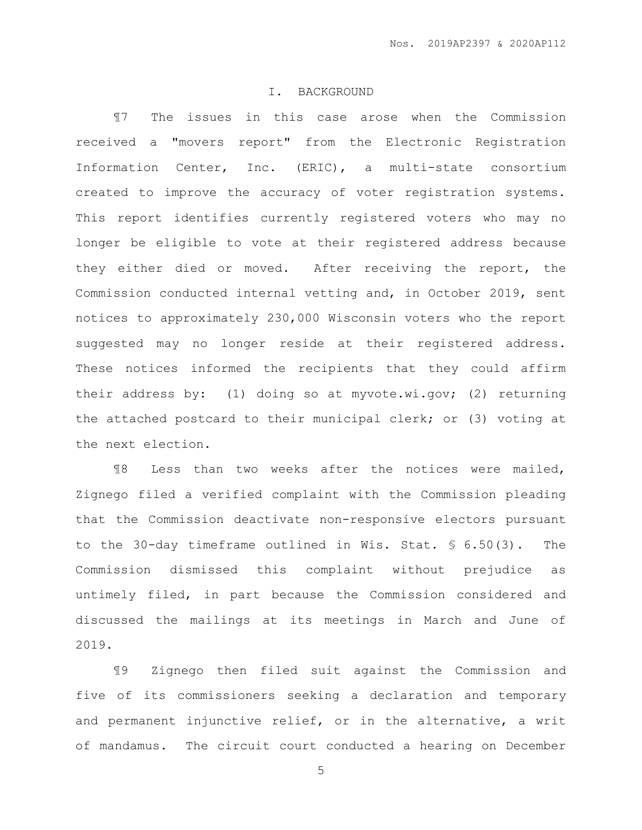### I. BACKGROUND

¶7 The issues in this case arose when the Commission received a "movers report" from the Electronic Registration Information Center, Inc. (ERIC), a multi-state consortium created to improve the accuracy of voter registration systems. This report identifies currently registered voters who may no longer be eligible to vote at their registered address because they either died or moved. After receiving the report, the Commission conducted internal vetting and, in October 2019, sent notices to approximately 230,000 Wisconsin voters who the report suggested may no longer reside at their registered address. These notices informed the recipients that they could affirm their address by: (1) doing so at myvote.wi.gov; (2) returning the attached postcard to their municipal clerk; or (3) voting at the next election.

¶8 Less than two weeks after the notices were mailed, Zignego filed a verified complaint with the Commission pleading that the Commission deactivate non-responsive electors pursuant to the 30-day timeframe outlined in Wis. Stat. § 6.50(3). The Commission dismissed this complaint without prejudice as untimely filed, in part because the Commission considered and discussed the mailings at its meetings in March and June of 2019.

¶9 Zignego then filed suit against the Commission and five of its commissioners seeking a declaration and temporary and permanent injunctive relief, or in the alternative, a writ of mandamus. The circuit court conducted a hearing on December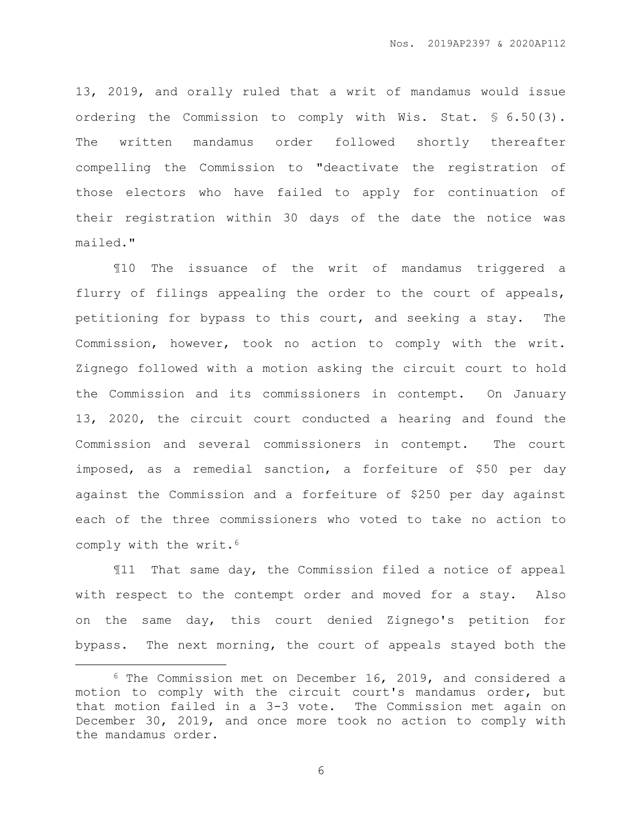13, 2019, and orally ruled that a writ of mandamus would issue ordering the Commission to comply with Wis. Stat. § 6.50(3). The written mandamus order followed shortly thereafter compelling the Commission to "deactivate the registration of those electors who have failed to apply for continuation of their registration within 30 days of the date the notice was mailed."

¶10 The issuance of the writ of mandamus triggered a flurry of filings appealing the order to the court of appeals, petitioning for bypass to this court, and seeking a stay. The Commission, however, took no action to comply with the writ. Zignego followed with a motion asking the circuit court to hold the Commission and its commissioners in contempt. On January 13, 2020, the circuit court conducted a hearing and found the Commission and several commissioners in contempt. The court imposed, as a remedial sanction, a forfeiture of \$50 per day against the Commission and a forfeiture of \$250 per day against each of the three commissioners who voted to take no action to comply with the writ.<sup>6</sup>

¶11 That same day, the Commission filed a notice of appeal with respect to the contempt order and moved for a stay. Also on the same day, this court denied Zignego's petition for bypass. The next morning, the court of appeals stayed both the

 $\overline{a}$ 

<sup>6</sup> The Commission met on December 16, 2019, and considered a motion to comply with the circuit court's mandamus order, but that motion failed in a 3-3 vote. The Commission met again on December 30, 2019, and once more took no action to comply with the mandamus order.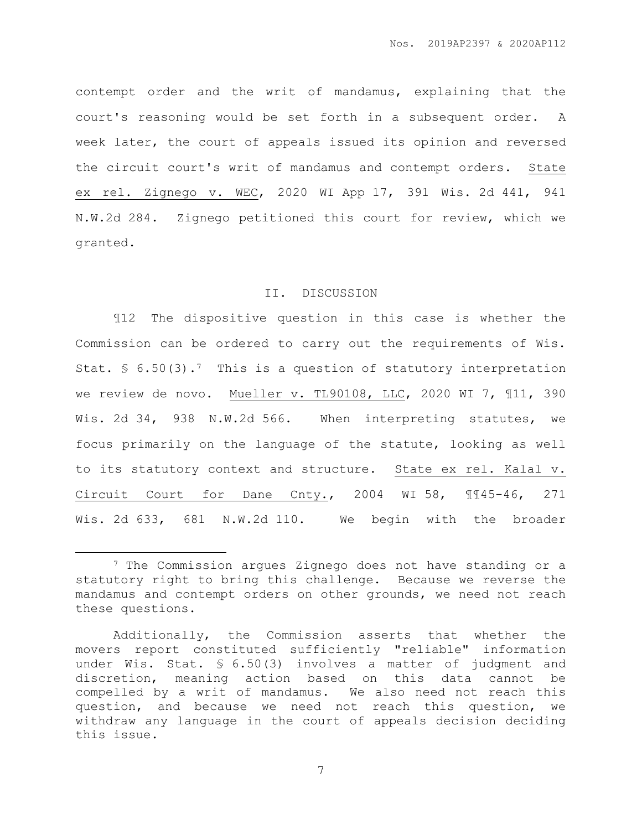contempt order and the writ of mandamus, explaining that the court's reasoning would be set forth in a subsequent order. A week later, the court of appeals issued its opinion and reversed the circuit court's writ of mandamus and contempt orders. State ex rel. Zignego v. WEC, 2020 WI App 17, 391 Wis. 2d 441, 941 N.W.2d 284. Zignego petitioned this court for review, which we granted.

## II. DISCUSSION

¶12 The dispositive question in this case is whether the Commission can be ordered to carry out the requirements of Wis. Stat.  $\$ 6.50(3)$ .<sup>7</sup> This is a question of statutory interpretation we review de novo. Mueller v. TL90108, LLC, 2020 WI 7, ¶11, 390 Wis. 2d 34, 938 N.W.2d 566. When interpreting statutes, we focus primarily on the language of the statute, looking as well to its statutory context and structure. State ex rel. Kalal v. Circuit Court for Dane Cnty., 2004 WI 58, ¶¶45-46, 271 Wis. 2d 633, 681 N.W.2d 110. We begin with the broader

 $\overline{a}$ 

<sup>7</sup> The Commission argues Zignego does not have standing or a statutory right to bring this challenge. Because we reverse the mandamus and contempt orders on other grounds, we need not reach these questions.

Additionally, the Commission asserts that whether the movers report constituted sufficiently "reliable" information under Wis. Stat. § 6.50(3) involves a matter of judgment and discretion, meaning action based on this data cannot be compelled by a writ of mandamus. We also need not reach this question, and because we need not reach this question, we withdraw any language in the court of appeals decision deciding this issue.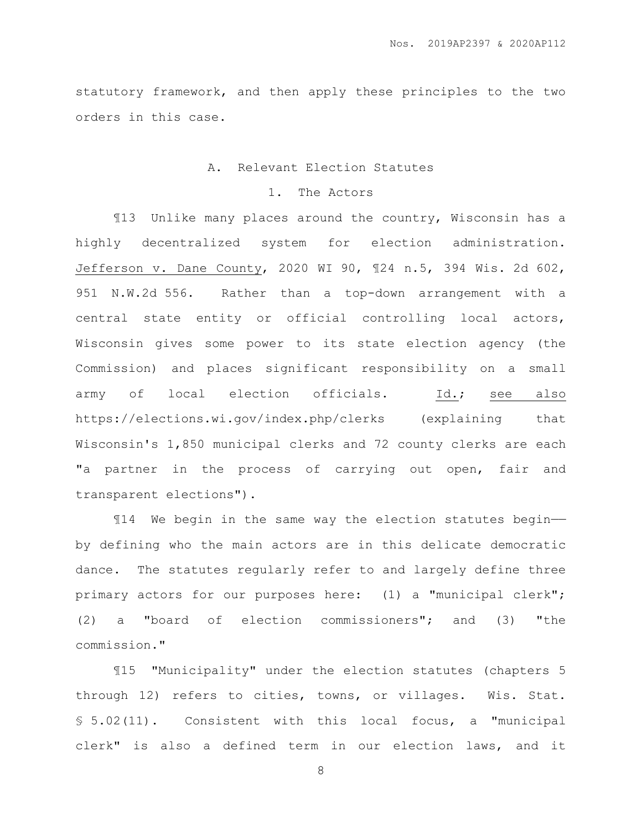statutory framework, and then apply these principles to the two orders in this case.

# A. Relevant Election Statutes

# 1. The Actors

¶13 Unlike many places around the country, Wisconsin has a highly decentralized system for election administration. Jefferson v. Dane County, 2020 WI 90, ¶24 n.5, 394 Wis. 2d 602, 951 N.W.2d 556. Rather than a top-down arrangement with a central state entity or official controlling local actors, Wisconsin gives some power to its state election agency (the Commission) and places significant responsibility on a small army of local election officials. Id.; see also https://elections.wi.gov/index.php/clerks (explaining that Wisconsin's 1,850 municipal clerks and 72 county clerks are each "a partner in the process of carrying out open, fair and transparent elections").

¶14 We begin in the same way the election statutes begin— by defining who the main actors are in this delicate democratic dance. The statutes regularly refer to and largely define three primary actors for our purposes here: (1) a "municipal clerk"; (2) a "board of election commissioners"; and (3) "the commission."

¶15 "Municipality" under the election statutes (chapters 5 through 12) refers to cities, towns, or villages. Wis. Stat. § 5.02(11). Consistent with this local focus, a "municipal clerk" is also a defined term in our election laws, and it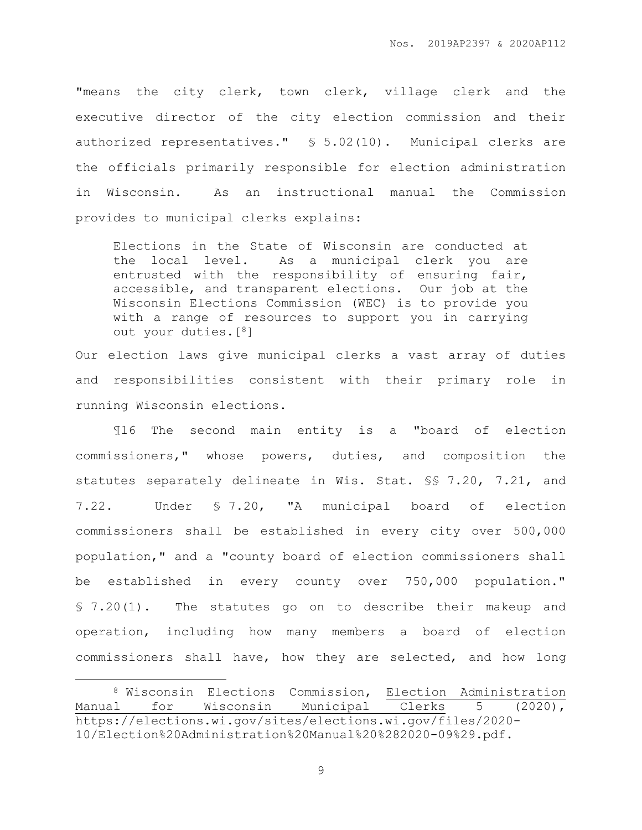"means the city clerk, town clerk, village clerk and the executive director of the city election commission and their authorized representatives." § 5.02(10). Municipal clerks are the officials primarily responsible for election administration in Wisconsin. As an instructional manual the Commission provides to municipal clerks explains:

Elections in the State of Wisconsin are conducted at the local level. As a municipal clerk you are entrusted with the responsibility of ensuring fair, accessible, and transparent elections. Our job at the Wisconsin Elections Commission (WEC) is to provide you with a range of resources to support you in carrying out your duties.[8]

Our election laws give municipal clerks a vast array of duties and responsibilities consistent with their primary role in running Wisconsin elections.

¶16 The second main entity is a "board of election commissioners," whose powers, duties, and composition the statutes separately delineate in Wis. Stat. §§ 7.20, 7.21, and 7.22. Under § 7.20, "A municipal board of election commissioners shall be established in every city over 500,000 population," and a "county board of election commissioners shall be established in every county over 750,000 population." § 7.20(1). The statutes go on to describe their makeup and operation, including how many members a board of election commissioners shall have, how they are selected, and how long

 $\overline{a}$ 

<sup>8</sup> Wisconsin Elections Commission, Election Administration Manual for Wisconsin Municipal Clerks 5 (2020), https://elections.wi.gov/sites/elections.wi.gov/files/2020- 10/Election%20Administration%20Manual%20%282020-09%29.pdf.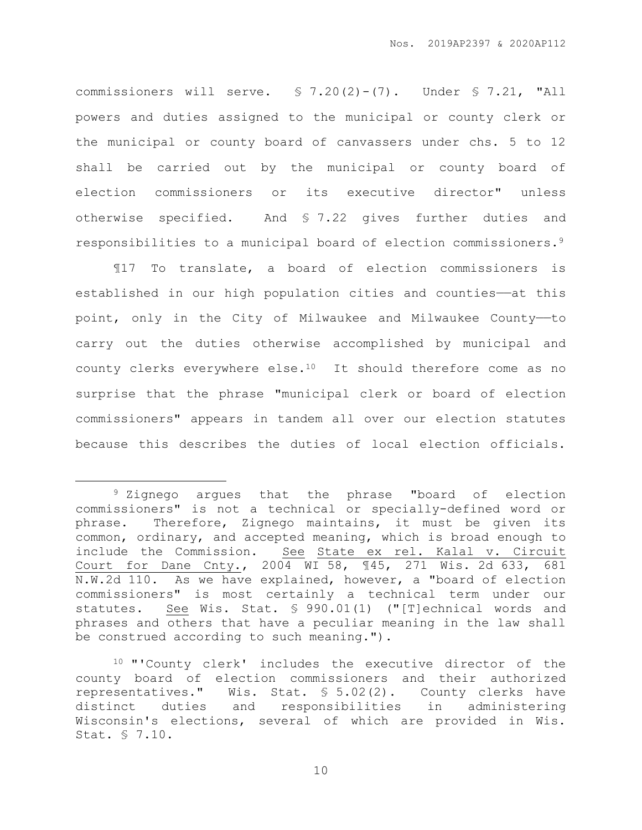commissioners will serve. § 7.20(2)-(7). Under § 7.21, "All powers and duties assigned to the municipal or county clerk or the municipal or county board of canvassers under chs. 5 to 12 shall be carried out by the municipal or county board of election commissioners or its executive director" unless otherwise specified. And § 7.22 gives further duties and responsibilities to a municipal board of election commissioners.<sup>9</sup>

¶17 To translate, a board of election commissioners is established in our high population cities and counties——at this point, only in the City of Milwaukee and Milwaukee County——to carry out the duties otherwise accomplished by municipal and county clerks everywhere else.10 It should therefore come as no surprise that the phrase "municipal clerk or board of election commissioners" appears in tandem all over our election statutes because this describes the duties of local election officials.

 $\overline{a}$ 

<sup>9</sup> Zignego argues that the phrase "board of election commissioners" is not a technical or specially-defined word or phrase. Therefore, Zignego maintains, it must be given its common, ordinary, and accepted meaning, which is broad enough to include the Commission. See State ex rel. Kalal v. Circuit Court for Dane Cnty., 2004 WI 58, ¶45, 271 Wis. 2d 633, 681 N.W.2d 110. As we have explained, however, a "board of election commissioners" is most certainly a technical term under our statutes. See Wis. Stat. § 990.01(1) ("[T]echnical words and phrases and others that have a peculiar meaning in the law shall be construed according to such meaning.").

<sup>10</sup> "'County clerk' includes the executive director of the county board of election commissioners and their authorized representatives." Wis. Stat. § 5.02(2). County clerks have distinct duties and responsibilities in administering Wisconsin's elections, several of which are provided in Wis. Stat. § 7.10.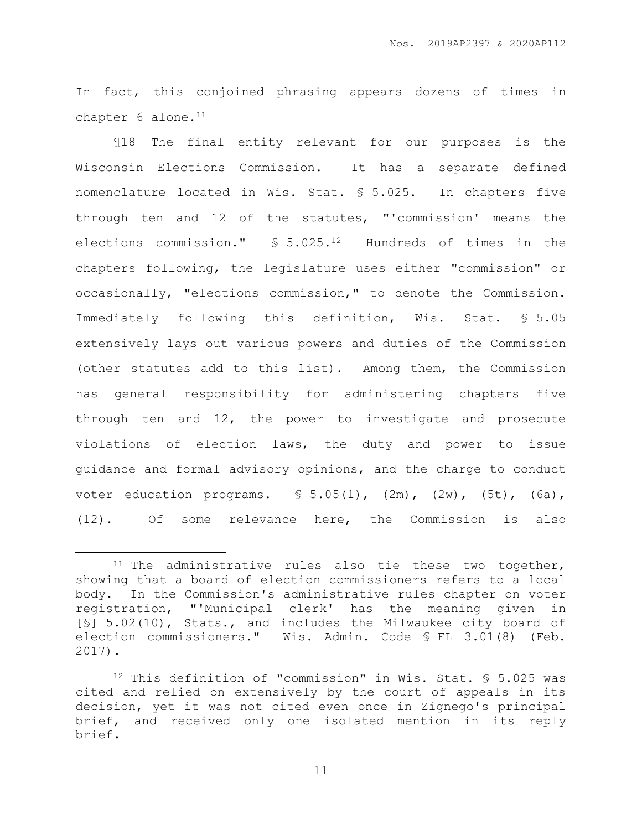In fact, this conjoined phrasing appears dozens of times in chapter 6 alone.<sup>11</sup>

¶18 The final entity relevant for our purposes is the Wisconsin Elections Commission. It has a separate defined nomenclature located in Wis. Stat. § 5.025. In chapters five through ten and 12 of the statutes, "'commission' means the elections commission." § 5.025.12 Hundreds of times in the chapters following, the legislature uses either "commission" or occasionally, "elections commission," to denote the Commission. Immediately following this definition, Wis. Stat. § 5.05 extensively lays out various powers and duties of the Commission (other statutes add to this list). Among them, the Commission has general responsibility for administering chapters five through ten and 12, the power to investigate and prosecute violations of election laws, the duty and power to issue guidance and formal advisory opinions, and the charge to conduct voter education programs. § 5.05(1), (2m), (2w), (5t), (6a), (12). Of some relevance here, the Commission is also

 $\overline{a}$ 

 $11$  The administrative rules also tie these two together, showing that a board of election commissioners refers to a local body. In the Commission's administrative rules chapter on voter registration, "'Municipal clerk' has the meaning given in [§] 5.02(10), Stats., and includes the Milwaukee city board of election commissioners." Wis. Admin. Code § EL 3.01(8) (Feb. 2017).

<sup>12</sup> This definition of "commission" in Wis. Stat. § 5.025 was cited and relied on extensively by the court of appeals in its decision, yet it was not cited even once in Zignego's principal brief, and received only one isolated mention in its reply brief.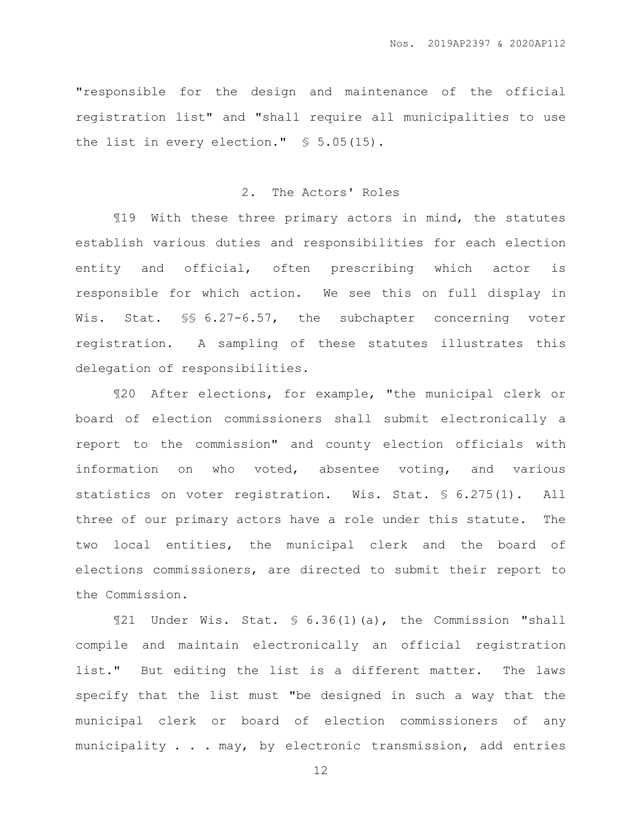"responsible for the design and maintenance of the official registration list" and "shall require all municipalities to use the list in every election." § 5.05(15).

## 2. The Actors' Roles

¶19 With these three primary actors in mind, the statutes establish various duties and responsibilities for each election entity and official, often prescribing which actor is responsible for which action. We see this on full display in Wis. Stat. §§ 6.27-6.57, the subchapter concerning voter registration. A sampling of these statutes illustrates this delegation of responsibilities.

¶20 After elections, for example, "the municipal clerk or board of election commissioners shall submit electronically a report to the commission" and county election officials with information on who voted, absentee voting, and various statistics on voter registration. Wis. Stat. § 6.275(1). All three of our primary actors have a role under this statute. The two local entities, the municipal clerk and the board of elections commissioners, are directed to submit their report to the Commission.

¶21 Under Wis. Stat. § 6.36(1)(a), the Commission "shall compile and maintain electronically an official registration list." But editing the list is a different matter. The laws specify that the list must "be designed in such a way that the municipal clerk or board of election commissioners of any municipality . . . may, by electronic transmission, add entries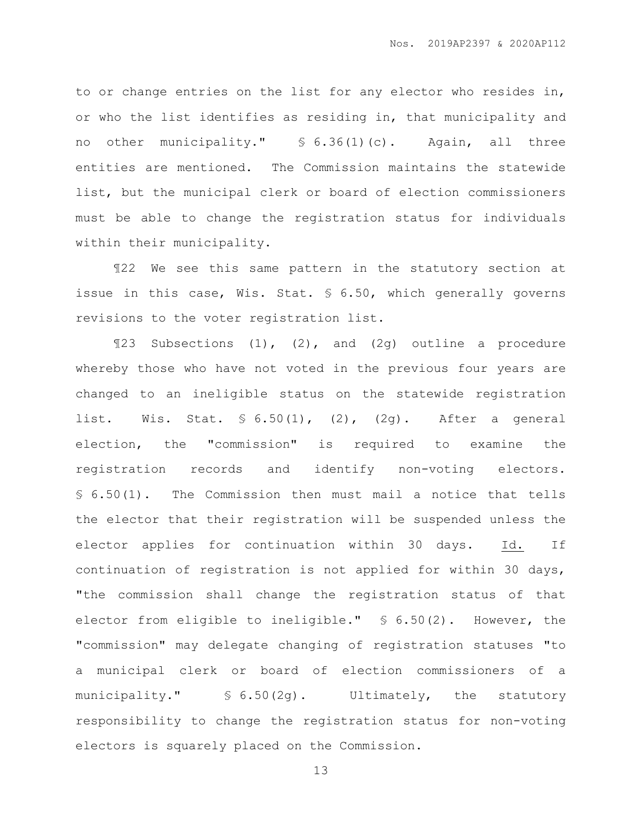to or change entries on the list for any elector who resides in, or who the list identifies as residing in, that municipality and no other municipality." § 6.36(1)(c). Again, all three entities are mentioned. The Commission maintains the statewide list, but the municipal clerk or board of election commissioners must be able to change the registration status for individuals within their municipality.

¶22 We see this same pattern in the statutory section at issue in this case, Wis. Stat. § 6.50, which generally governs revisions to the voter registration list.

¶23 Subsections (1), (2), and (2g) outline a procedure whereby those who have not voted in the previous four years are changed to an ineligible status on the statewide registration list. Wis. Stat. § 6.50(1), (2), (2g). After a general election, the "commission" is required to examine the registration records and identify non-voting electors. § 6.50(1). The Commission then must mail a notice that tells the elector that their registration will be suspended unless the elector applies for continuation within 30 days. Id. If continuation of registration is not applied for within 30 days, "the commission shall change the registration status of that elector from eligible to ineligible." § 6.50(2). However, the "commission" may delegate changing of registration statuses "to a municipal clerk or board of election commissioners of a municipality." § 6.50(2g). Ultimately, the statutory responsibility to change the registration status for non-voting electors is squarely placed on the Commission.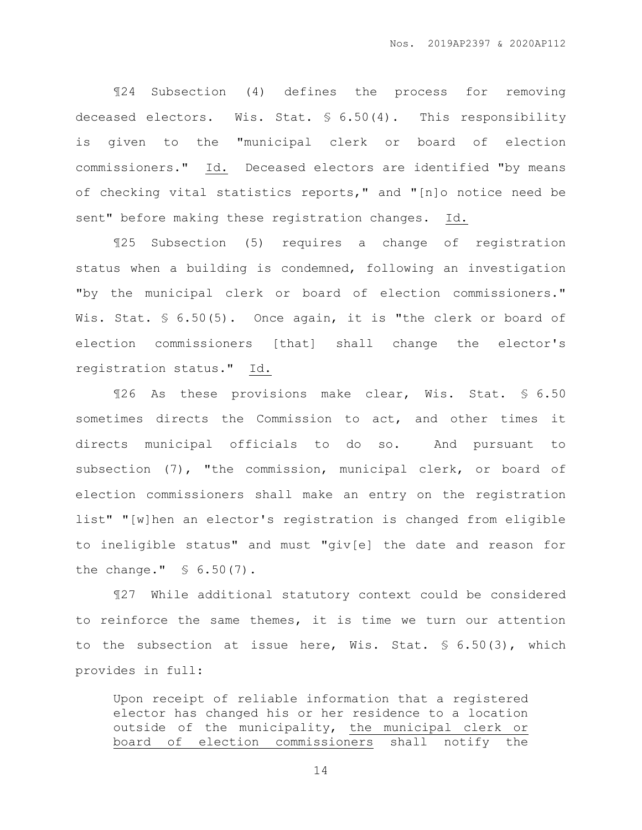¶24 Subsection (4) defines the process for removing deceased electors. Wis. Stat. § 6.50(4). This responsibility is given to the "municipal clerk or board of election commissioners." Id. Deceased electors are identified "by means of checking vital statistics reports," and "[n]o notice need be sent" before making these registration changes. Id.

¶25 Subsection (5) requires a change of registration status when a building is condemned, following an investigation "by the municipal clerk or board of election commissioners." Wis. Stat. § 6.50(5). Once again, it is "the clerk or board of election commissioners [that] shall change the elector's registration status." Id.

¶26 As these provisions make clear, Wis. Stat. § 6.50 sometimes directs the Commission to act, and other times it directs municipal officials to do so. And pursuant to subsection (7), "the commission, municipal clerk, or board of election commissioners shall make an entry on the registration list" "[w]hen an elector's registration is changed from eligible to ineligible status" and must "giv[e] the date and reason for the change." § 6.50(7).

¶27 While additional statutory context could be considered to reinforce the same themes, it is time we turn our attention to the subsection at issue here, Wis. Stat. § 6.50(3), which provides in full:

Upon receipt of reliable information that a registered elector has changed his or her residence to a location outside of the municipality, the municipal clerk or board of election commissioners shall notify the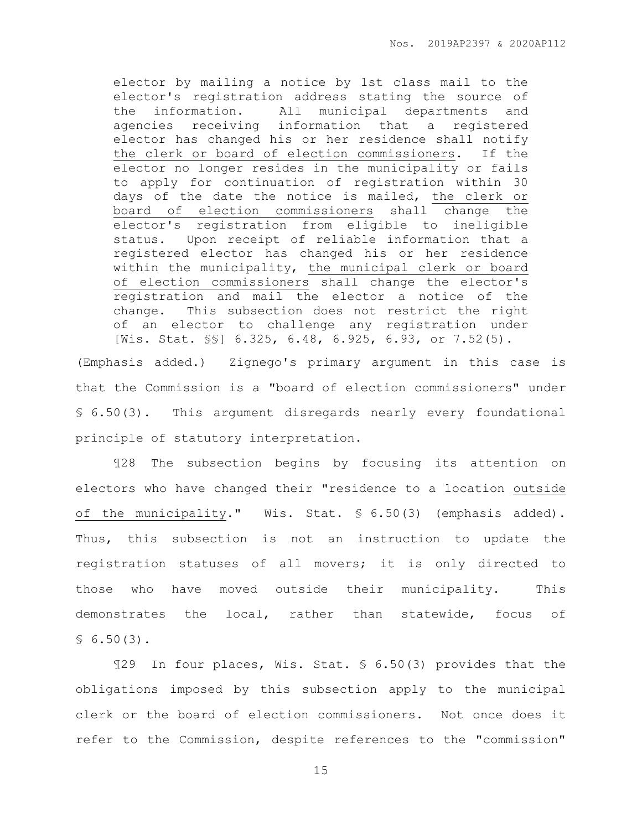elector by mailing a notice by 1st class mail to the elector's registration address stating the source of the information. All municipal departments and agencies receiving information that a registered elector has changed his or her residence shall notify the clerk or board of election commissioners. If the elector no longer resides in the municipality or fails to apply for continuation of registration within 30 days of the date the notice is mailed, the clerk or board of election commissioners shall change the elector's registration from eligible to ineligible status. Upon receipt of reliable information that a registered elector has changed his or her residence within the municipality, the municipal clerk or board of election commissioners shall change the elector's registration and mail the elector a notice of the change. This subsection does not restrict the right of an elector to challenge any registration under [Wis. Stat. §§] 6.325, 6.48, 6.925, 6.93, or 7.52(5).

(Emphasis added.) Zignego's primary argument in this case is that the Commission is a "board of election commissioners" under § 6.50(3). This argument disregards nearly every foundational principle of statutory interpretation.

¶28 The subsection begins by focusing its attention on electors who have changed their "residence to a location outside of the municipality." Wis. Stat. § 6.50(3) (emphasis added). Thus, this subsection is not an instruction to update the registration statuses of all movers; it is only directed to those who have moved outside their municipality. This demonstrates the local, rather than statewide, focus of  $$6.50(3).$ 

¶29 In four places, Wis. Stat. § 6.50(3) provides that the obligations imposed by this subsection apply to the municipal clerk or the board of election commissioners. Not once does it refer to the Commission, despite references to the "commission"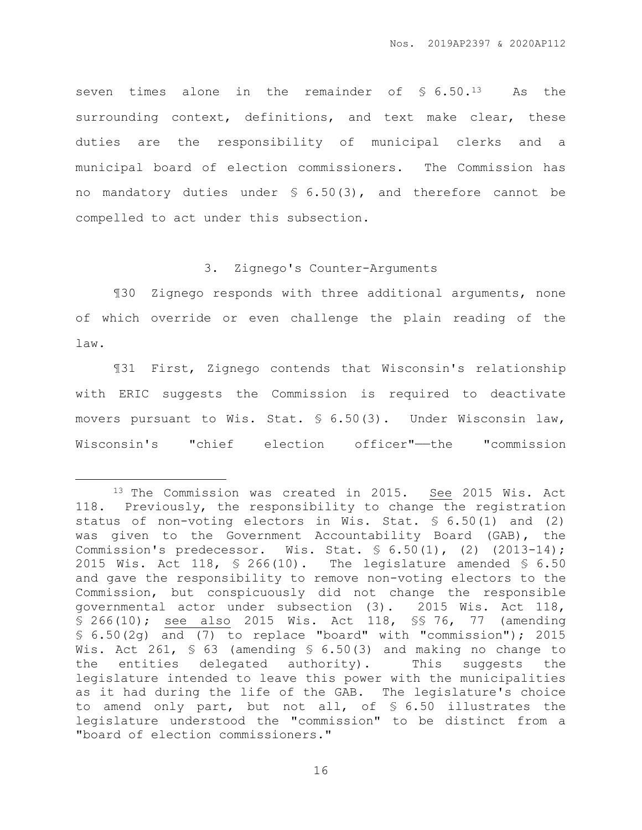seven times alone in the remainder of  $\$ 6.50.^{13}$  As the surrounding context, definitions, and text make clear, these duties are the responsibility of municipal clerks and a municipal board of election commissioners. The Commission has no mandatory duties under § 6.50(3), and therefore cannot be compelled to act under this subsection.

#### 3. Zignego's Counter-Arguments

¶30 Zignego responds with three additional arguments, none of which override or even challenge the plain reading of the law.

¶31 First, Zignego contends that Wisconsin's relationship with ERIC suggests the Commission is required to deactivate movers pursuant to Wis. Stat. § 6.50(3). Under Wisconsin law, Wisconsin's "chief election officer"——the "commission

 $\overline{a}$ 

<sup>13</sup> The Commission was created in 2015. See 2015 Wis. Act 118. Previously, the responsibility to change the registration status of non-voting electors in Wis. Stat. § 6.50(1) and (2) was given to the Government Accountability Board (GAB), the Commission's predecessor. Wis. Stat. § 6.50(1), (2) (2013-14); 2015 Wis. Act 118, § 266(10). The legislature amended § 6.50 and gave the responsibility to remove non-voting electors to the Commission, but conspicuously did not change the responsible governmental actor under subsection (3). 2015 Wis. Act 118, § 266(10); see also 2015 Wis. Act 118, §§ 76, 77 (amending § 6.50(2g) and (7) to replace "board" with "commission"); 2015 Wis. Act 261, § 63 (amending § 6.50(3) and making no change to the entities delegated authority). This suggests the legislature intended to leave this power with the municipalities as it had during the life of the GAB. The legislature's choice to amend only part, but not all, of § 6.50 illustrates the legislature understood the "commission" to be distinct from a "board of election commissioners."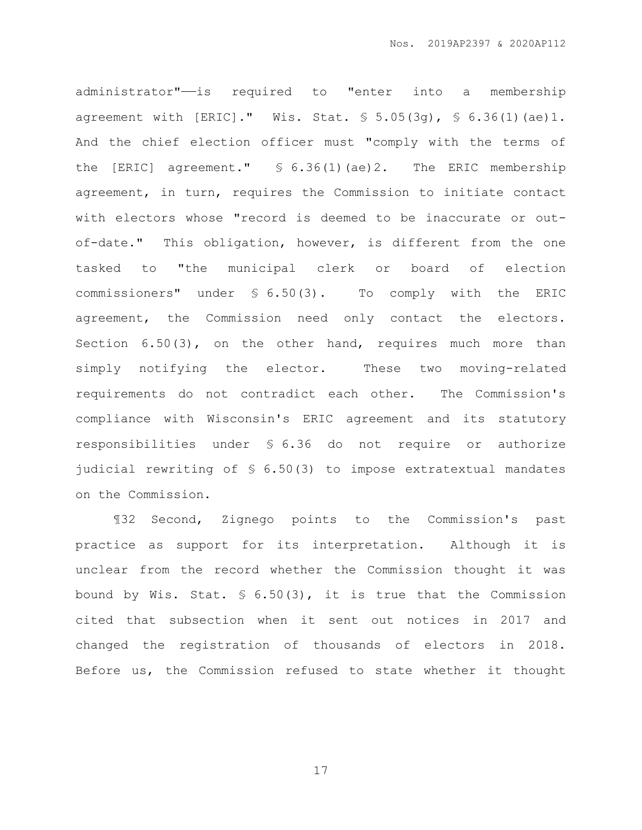administrator"——is required to "enter into a membership agreement with [ERIC]." Wis. Stat. § 5.05(3g), § 6.36(1)(ae)1. And the chief election officer must "comply with the terms of the [ERIC] agreement." § 6.36(1)(ae)2. The ERIC membership agreement, in turn, requires the Commission to initiate contact with electors whose "record is deemed to be inaccurate or outof-date." This obligation, however, is different from the one tasked to "the municipal clerk or board of election commissioners" under § 6.50(3). To comply with the ERIC agreement, the Commission need only contact the electors. Section 6.50(3), on the other hand, requires much more than simply notifying the elector. These two moving-related requirements do not contradict each other. The Commission's compliance with Wisconsin's ERIC agreement and its statutory responsibilities under § 6.36 do not require or authorize judicial rewriting of § 6.50(3) to impose extratextual mandates on the Commission.

¶32 Second, Zignego points to the Commission's past practice as support for its interpretation. Although it is unclear from the record whether the Commission thought it was bound by Wis. Stat. § 6.50(3), it is true that the Commission cited that subsection when it sent out notices in 2017 and changed the registration of thousands of electors in 2018. Before us, the Commission refused to state whether it thought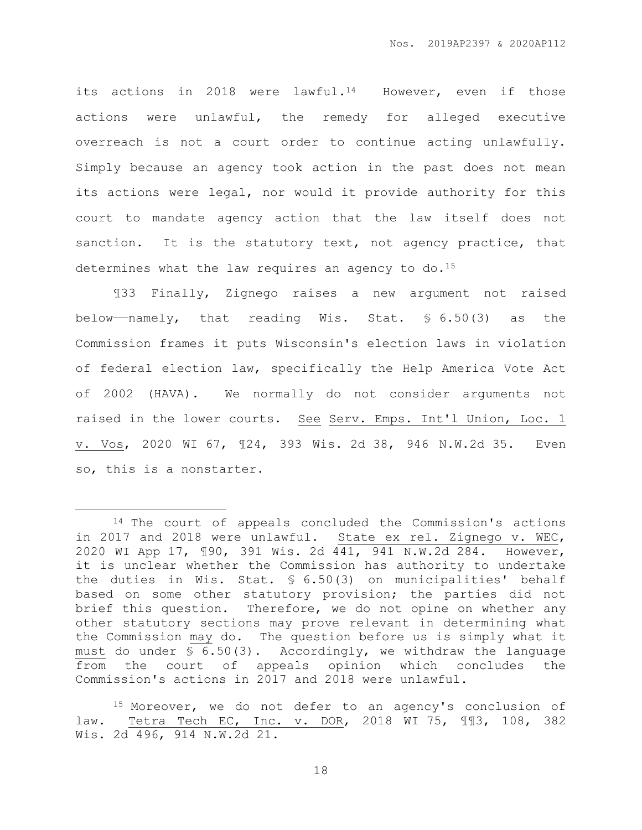its actions in 2018 were lawful.<sup>14</sup> However, even if those actions were unlawful, the remedy for alleged executive overreach is not a court order to continue acting unlawfully. Simply because an agency took action in the past does not mean its actions were legal, nor would it provide authority for this court to mandate agency action that the law itself does not sanction. It is the statutory text, not agency practice, that determines what the law requires an agency to  $do.^{15}$ 

¶33 Finally, Zignego raises a new argument not raised below——namely, that reading Wis. Stat. § 6.50(3) as the Commission frames it puts Wisconsin's election laws in violation of federal election law, specifically the Help America Vote Act of 2002 (HAVA). We normally do not consider arguments not raised in the lower courts. See Serv. Emps. Int'l Union, Loc. 1 v. Vos, 2020 WI 67, ¶24, 393 Wis. 2d 38, 946 N.W.2d 35. Even so, this is a nonstarter.

 $\overline{a}$ 

<sup>&</sup>lt;sup>14</sup> The court of appeals concluded the Commission's actions in 2017 and 2018 were unlawful. State ex rel. Zignego v. WEC, 2020 WI App 17, ¶90, 391 Wis. 2d 441, 941 N.W.2d 284. However, it is unclear whether the Commission has authority to undertake the duties in Wis. Stat. § 6.50(3) on municipalities' behalf based on some other statutory provision; the parties did not brief this question. Therefore, we do not opine on whether any other statutory sections may prove relevant in determining what the Commission may do. The question before us is simply what it must do under § 6.50(3). Accordingly, we withdraw the language from the court of appeals opinion which concludes the Commission's actions in 2017 and 2018 were unlawful.

<sup>15</sup> Moreover, we do not defer to an agency's conclusion of law. Tetra Tech EC, Inc. v. DOR, 2018 WI 75, ¶¶3, 108, 382 Wis. 2d 496, 914 N.W.2d 21.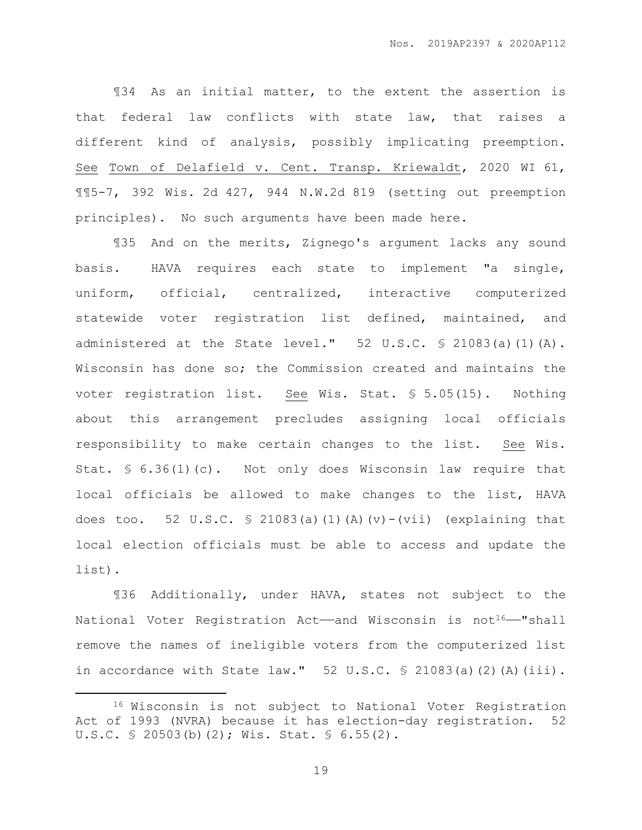¶34 As an initial matter, to the extent the assertion is that federal law conflicts with state law, that raises a different kind of analysis, possibly implicating preemption. See Town of Delafield v. Cent. Transp. Kriewaldt, 2020 WI 61, ¶¶5-7, 392 Wis. 2d 427, 944 N.W.2d 819 (setting out preemption principles). No such arguments have been made here.

¶35 And on the merits, Zignego's argument lacks any sound basis. HAVA requires each state to implement "a single, uniform, official, centralized, interactive computerized statewide voter registration list defined, maintained, and administered at the State level."  $52 \text{ U.S.C.}$   $\frac{6}{5}$  21083(a)(1)(A). Wisconsin has done so; the Commission created and maintains the voter registration list. See Wis. Stat. § 5.05(15). Nothing about this arrangement precludes assigning local officials responsibility to make certain changes to the list. See Wis. Stat. § 6.36(1)(c). Not only does Wisconsin law require that local officials be allowed to make changes to the list, HAVA does too. 52 U.S.C.  $\frac{1}{2}$  21083(a)(1)(A)(v)-(vii) (explaining that local election officials must be able to access and update the list).

¶36 Additionally, under HAVA, states not subject to the National Voter Registration Act—and Wisconsin is not<sup>16</sup>—"shall remove the names of ineligible voters from the computerized list in accordance with State law."  $52 \text{ U.S.C. }$  \$ 21083(a)(2)(A)(iii).

 $\overline{a}$ 

<sup>16</sup> Wisconsin is not subject to National Voter Registration Act of 1993 (NVRA) because it has election-day registration. 52 U.S.C. § 20503(b)(2); Wis. Stat. § 6.55(2).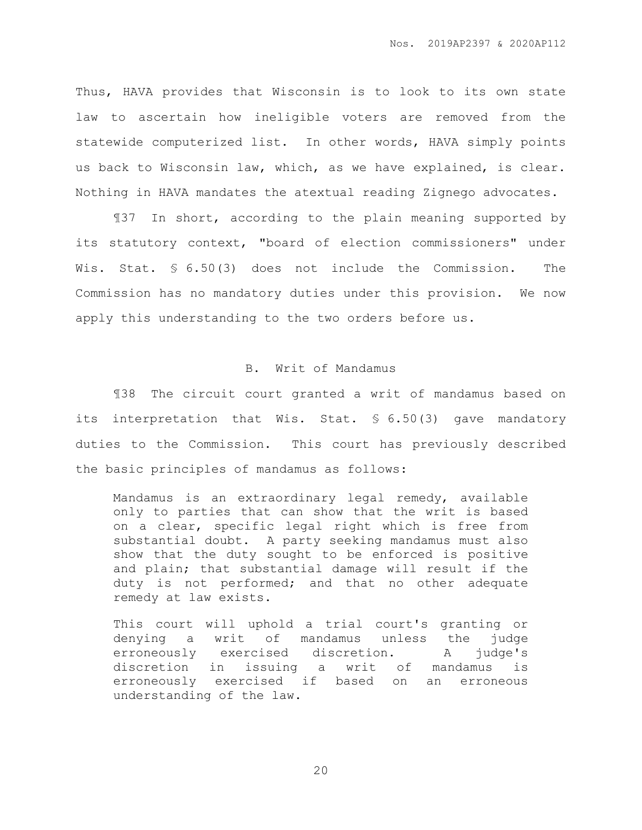Thus, HAVA provides that Wisconsin is to look to its own state law to ascertain how ineligible voters are removed from the statewide computerized list. In other words, HAVA simply points us back to Wisconsin law, which, as we have explained, is clear. Nothing in HAVA mandates the atextual reading Zignego advocates.

¶37 In short, according to the plain meaning supported by its statutory context, "board of election commissioners" under Wis. Stat. § 6.50(3) does not include the Commission. The Commission has no mandatory duties under this provision. We now apply this understanding to the two orders before us.

### B. Writ of Mandamus

¶38 The circuit court granted a writ of mandamus based on its interpretation that Wis. Stat. § 6.50(3) gave mandatory duties to the Commission. This court has previously described the basic principles of mandamus as follows:

Mandamus is an extraordinary legal remedy, available only to parties that can show that the writ is based on a clear, specific legal right which is free from substantial doubt. A party seeking mandamus must also show that the duty sought to be enforced is positive and plain; that substantial damage will result if the duty is not performed; and that no other adequate remedy at law exists.

This court will uphold a trial court's granting or denying a writ of mandamus unless the judge erroneously exercised discretion. A judge's discretion in issuing a writ of mandamus is erroneously exercised if based on an erroneous understanding of the law.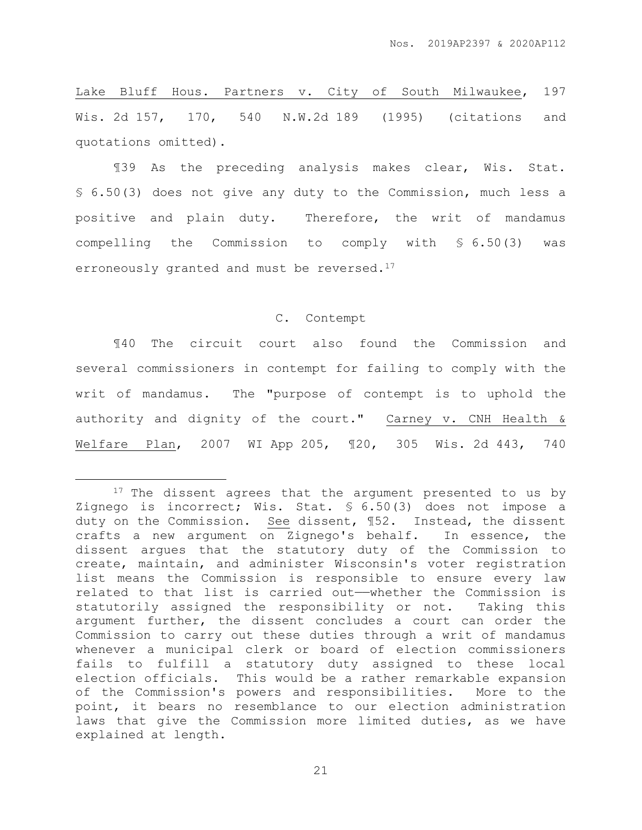Lake Bluff Hous. Partners v. City of South Milwaukee, 197 Wis. 2d 157, 170, 540 N.W.2d 189 (1995) (citations and quotations omitted).

¶39 As the preceding analysis makes clear, Wis. Stat. § 6.50(3) does not give any duty to the Commission, much less a positive and plain duty. Therefore, the writ of mandamus compelling the Commission to comply with § 6.50(3) was erroneously granted and must be reversed.<sup>17</sup>

#### C. Contempt

¶40 The circuit court also found the Commission and several commissioners in contempt for failing to comply with the writ of mandamus. The "purpose of contempt is to uphold the authority and dignity of the court." Carney v. CNH Health & Welfare Plan, 2007 WI App 205, ¶20, 305 Wis. 2d 443, 740

 $\overline{a}$ 

<sup>&</sup>lt;sup>17</sup> The dissent agrees that the argument presented to us by Zignego is incorrect; Wis. Stat. § 6.50(3) does not impose a duty on the Commission. See dissent, ¶52. Instead, the dissent crafts a new argument on Zignego's behalf. In essence, the dissent argues that the statutory duty of the Commission to create, maintain, and administer Wisconsin's voter registration list means the Commission is responsible to ensure every law related to that list is carried out——whether the Commission is statutorily assigned the responsibility or not. Taking this argument further, the dissent concludes a court can order the Commission to carry out these duties through a writ of mandamus whenever a municipal clerk or board of election commissioners fails to fulfill a statutory duty assigned to these local election officials. This would be a rather remarkable expansion of the Commission's powers and responsibilities. More to the point, it bears no resemblance to our election administration laws that give the Commission more limited duties, as we have explained at length.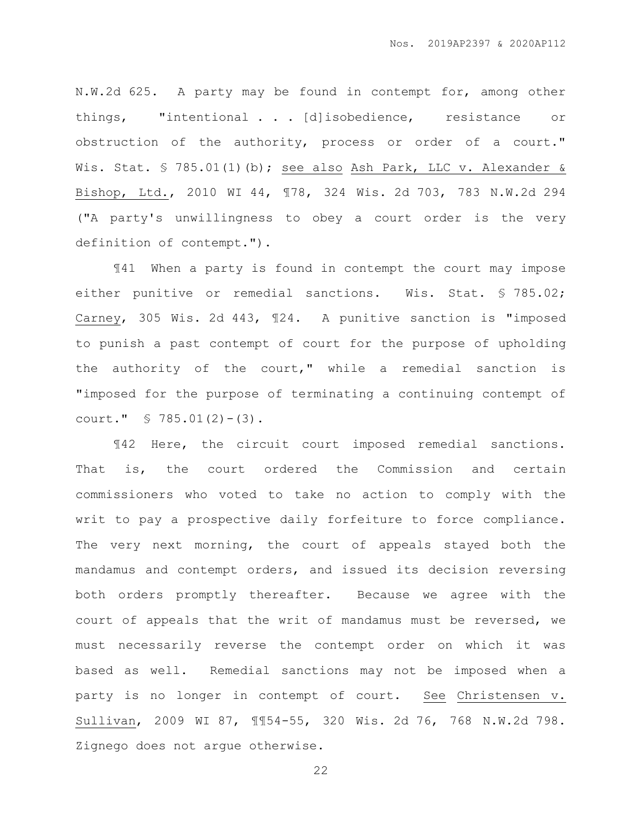N.W.2d 625. A party may be found in contempt for, among other things, "intentional . . . [d]isobedience, resistance or obstruction of the authority, process or order of a court." Wis. Stat. § 785.01(1)(b); see also Ash Park, LLC v. Alexander & Bishop, Ltd., 2010 WI 44, ¶78, 324 Wis. 2d 703, 783 N.W.2d 294 ("A party's unwillingness to obey a court order is the very definition of contempt.").

¶41 When a party is found in contempt the court may impose either punitive or remedial sanctions. Wis. Stat. § 785.02; Carney, 305 Wis. 2d 443, ¶24. A punitive sanction is "imposed to punish a past contempt of court for the purpose of upholding the authority of the court," while a remedial sanction is "imposed for the purpose of terminating a continuing contempt of court." § 785.01(2)-(3).

¶42 Here, the circuit court imposed remedial sanctions. That is, the court ordered the Commission and certain commissioners who voted to take no action to comply with the writ to pay a prospective daily forfeiture to force compliance. The very next morning, the court of appeals stayed both the mandamus and contempt orders, and issued its decision reversing both orders promptly thereafter. Because we agree with the court of appeals that the writ of mandamus must be reversed, we must necessarily reverse the contempt order on which it was based as well. Remedial sanctions may not be imposed when a party is no longer in contempt of court. See Christensen v. Sullivan, 2009 WI 87, ¶¶54-55, 320 Wis. 2d 76, 768 N.W.2d 798. Zignego does not argue otherwise.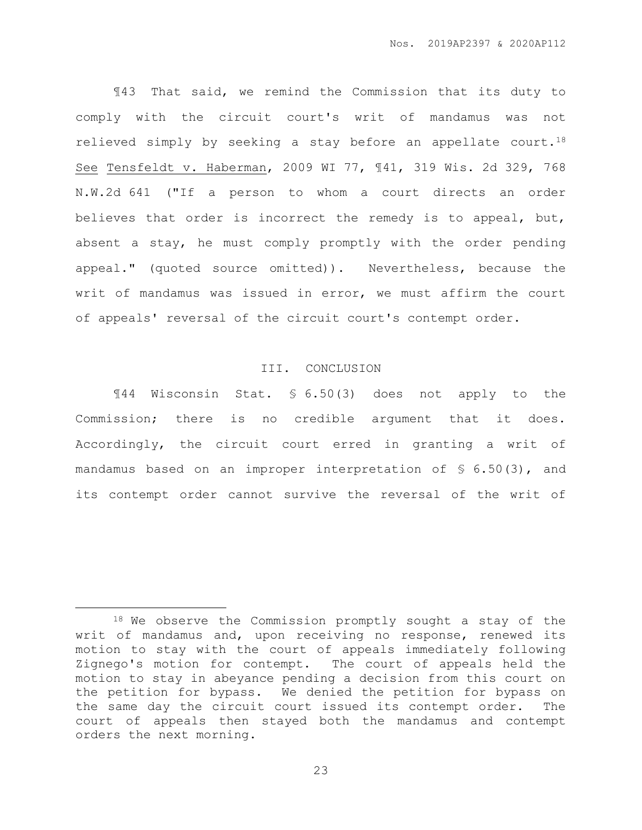¶43 That said, we remind the Commission that its duty to comply with the circuit court's writ of mandamus was not relieved simply by seeking a stay before an appellate court.<sup>18</sup> See Tensfeldt v. Haberman, 2009 WI 77, ¶41, 319 Wis. 2d 329, 768 N.W.2d 641 ("If a person to whom a court directs an order believes that order is incorrect the remedy is to appeal, but, absent a stay, he must comply promptly with the order pending appeal." (quoted source omitted)). Nevertheless, because the writ of mandamus was issued in error, we must affirm the court of appeals' reversal of the circuit court's contempt order.

# III. CONCLUSION

¶44 Wisconsin Stat. § 6.50(3) does not apply to the Commission; there is no credible argument that it does. Accordingly, the circuit court erred in granting a writ of mandamus based on an improper interpretation of § 6.50(3), and its contempt order cannot survive the reversal of the writ of

 $\overline{a}$ 

<sup>18</sup> We observe the Commission promptly sought a stay of the writ of mandamus and, upon receiving no response, renewed its motion to stay with the court of appeals immediately following Zignego's motion for contempt. The court of appeals held the motion to stay in abeyance pending a decision from this court on the petition for bypass. We denied the petition for bypass on the same day the circuit court issued its contempt order. The court of appeals then stayed both the mandamus and contempt orders the next morning.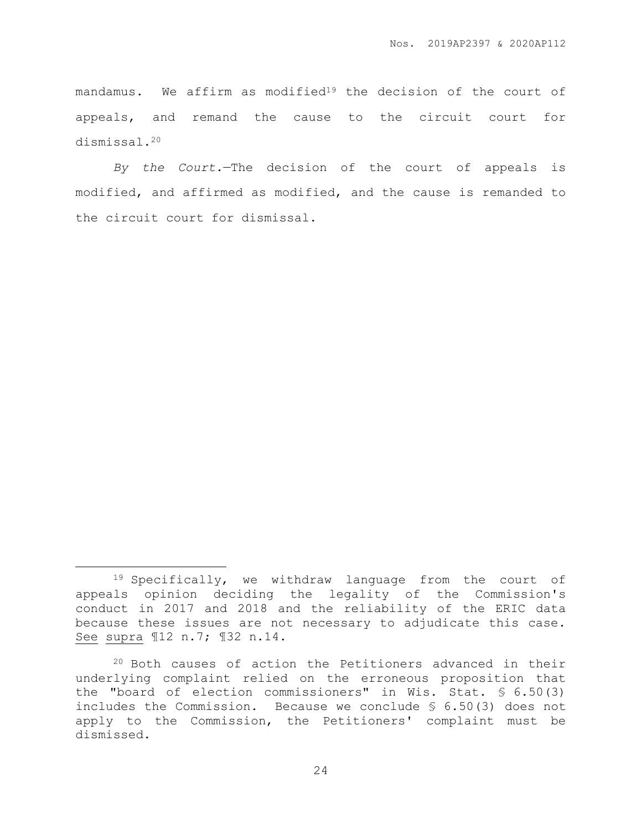mandamus. We affirm as modified<sup>19</sup> the decision of the court of appeals, and remand the cause to the circuit court for dismissal.<sup>20</sup>

*By the Court.*—The decision of the court of appeals is modified, and affirmed as modified, and the cause is remanded to the circuit court for dismissal.

 $\overline{a}$ 

<sup>19</sup> Specifically, we withdraw language from the court of appeals opinion deciding the legality of the Commission's conduct in 2017 and 2018 and the reliability of the ERIC data because these issues are not necessary to adjudicate this case. See supra ¶12 n.7; ¶32 n.14.

<sup>20</sup> Both causes of action the Petitioners advanced in their underlying complaint relied on the erroneous proposition that the "board of election commissioners" in Wis. Stat. § 6.50(3) includes the Commission. Because we conclude § 6.50(3) does not apply to the Commission, the Petitioners' complaint must be dismissed.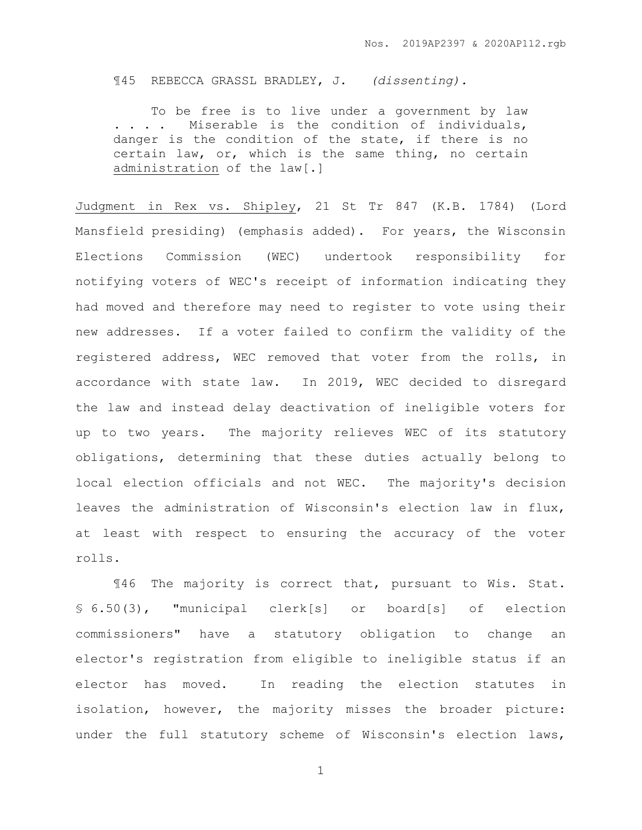¶45 REBECCA GRASSL BRADLEY, J. *(dissenting).*

To be free is to live under a government by law . . . . Miserable is the condition of individuals, danger is the condition of the state, if there is no certain law, or, which is the same thing, no certain administration of the law[.]

Judgment in Rex vs. Shipley, 21 St Tr 847 (K.B. 1784) (Lord Mansfield presiding) (emphasis added). For years, the Wisconsin Elections Commission (WEC) undertook responsibility for notifying voters of WEC's receipt of information indicating they had moved and therefore may need to register to vote using their new addresses. If a voter failed to confirm the validity of the registered address, WEC removed that voter from the rolls, in accordance with state law. In 2019, WEC decided to disregard the law and instead delay deactivation of ineligible voters for up to two years. The majority relieves WEC of its statutory obligations, determining that these duties actually belong to local election officials and not WEC. The majority's decision leaves the administration of Wisconsin's election law in flux, at least with respect to ensuring the accuracy of the voter rolls.

¶46 The majority is correct that, pursuant to Wis. Stat. § 6.50(3), "municipal clerk[s] or board[s] of election commissioners" have a statutory obligation to change an elector's registration from eligible to ineligible status if an elector has moved. In reading the election statutes in isolation, however, the majority misses the broader picture: under the full statutory scheme of Wisconsin's election laws,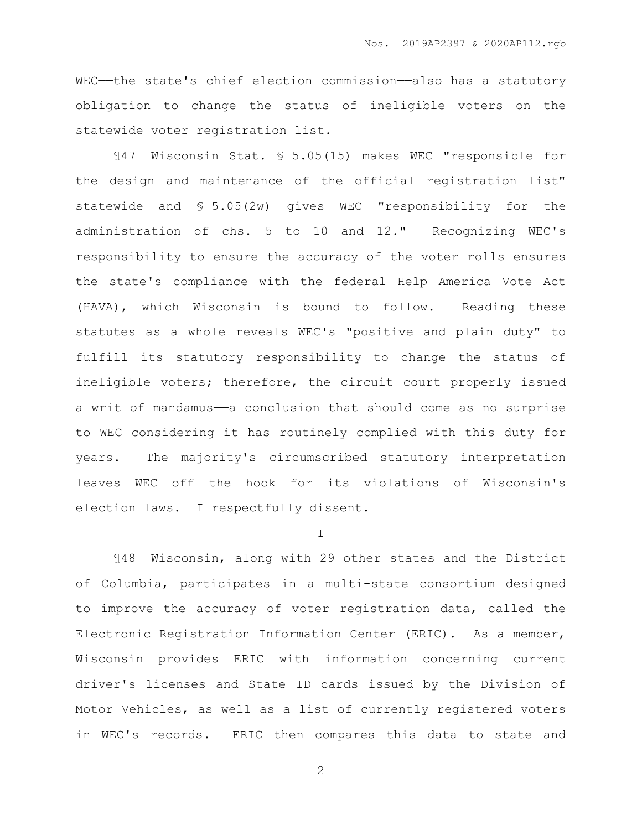WEC--the state's chief election commission-also has a statutory obligation to change the status of ineligible voters on the statewide voter registration list.

¶47 Wisconsin Stat. § 5.05(15) makes WEC "responsible for the design and maintenance of the official registration list" statewide and § 5.05(2w) gives WEC "responsibility for the administration of chs. 5 to 10 and 12." Recognizing WEC's responsibility to ensure the accuracy of the voter rolls ensures the state's compliance with the federal Help America Vote Act (HAVA), which Wisconsin is bound to follow. Reading these statutes as a whole reveals WEC's "positive and plain duty" to fulfill its statutory responsibility to change the status of ineligible voters; therefore, the circuit court properly issued a writ of mandamus——a conclusion that should come as no surprise to WEC considering it has routinely complied with this duty for years. The majority's circumscribed statutory interpretation leaves WEC off the hook for its violations of Wisconsin's election laws. I respectfully dissent.

I

¶48 Wisconsin, along with 29 other states and the District of Columbia, participates in a multi-state consortium designed to improve the accuracy of voter registration data, called the Electronic Registration Information Center (ERIC). As a member, Wisconsin provides ERIC with information concerning current driver's licenses and State ID cards issued by the Division of Motor Vehicles, as well as a list of currently registered voters in WEC's records. ERIC then compares this data to state and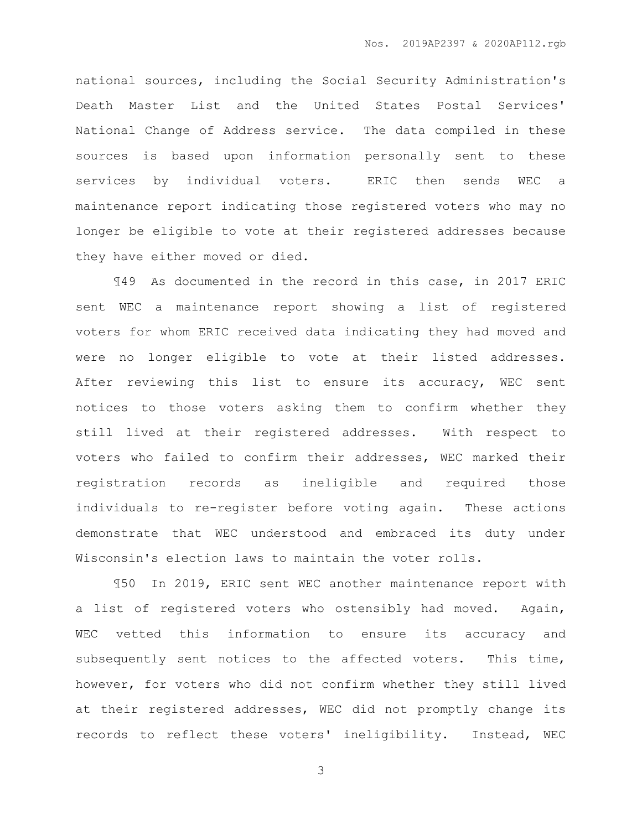national sources, including the Social Security Administration's Death Master List and the United States Postal Services' National Change of Address service. The data compiled in these sources is based upon information personally sent to these services by individual voters. ERIC then sends WEC a maintenance report indicating those registered voters who may no longer be eligible to vote at their registered addresses because they have either moved or died.

¶49 As documented in the record in this case, in 2017 ERIC sent WEC a maintenance report showing a list of registered voters for whom ERIC received data indicating they had moved and were no longer eligible to vote at their listed addresses. After reviewing this list to ensure its accuracy, WEC sent notices to those voters asking them to confirm whether they still lived at their registered addresses. With respect to voters who failed to confirm their addresses, WEC marked their registration records as ineligible and required those individuals to re-register before voting again. These actions demonstrate that WEC understood and embraced its duty under Wisconsin's election laws to maintain the voter rolls.

¶50 In 2019, ERIC sent WEC another maintenance report with a list of registered voters who ostensibly had moved. Again, WEC vetted this information to ensure its accuracy and subsequently sent notices to the affected voters. This time, however, for voters who did not confirm whether they still lived at their registered addresses, WEC did not promptly change its records to reflect these voters' ineligibility. Instead, WEC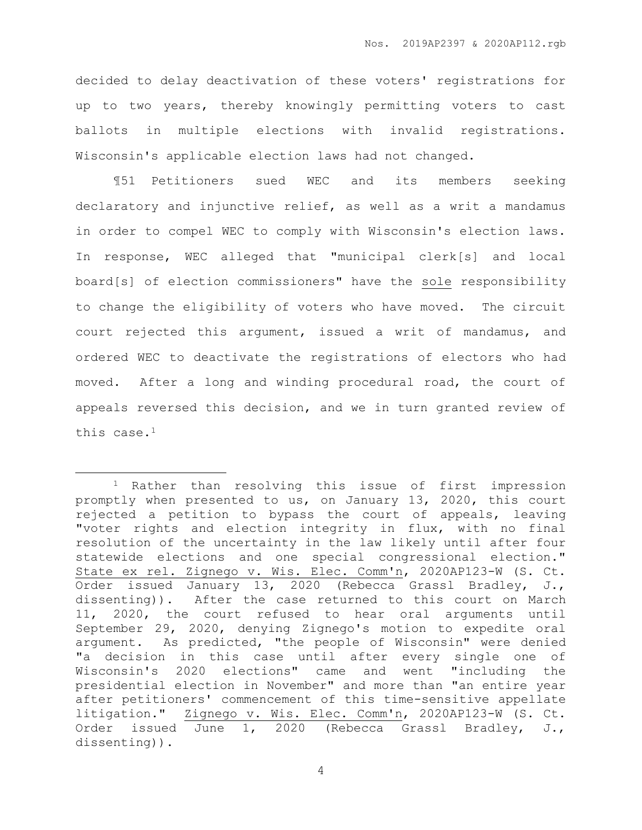decided to delay deactivation of these voters' registrations for up to two years, thereby knowingly permitting voters to cast ballots in multiple elections with invalid registrations. Wisconsin's applicable election laws had not changed.

¶51 Petitioners sued WEC and its members seeking declaratory and injunctive relief, as well as a writ a mandamus in order to compel WEC to comply with Wisconsin's election laws. In response, WEC alleged that "municipal clerk[s] and local board[s] of election commissioners" have the sole responsibility to change the eligibility of voters who have moved. The circuit court rejected this argument, issued a writ of mandamus, and ordered WEC to deactivate the registrations of electors who had moved. After a long and winding procedural road, the court of appeals reversed this decision, and we in turn granted review of this case.<sup>1</sup>

 $\overline{a}$ 

<sup>1</sup> Rather than resolving this issue of first impression promptly when presented to us, on January 13, 2020, this court rejected a petition to bypass the court of appeals, leaving "voter rights and election integrity in flux, with no final resolution of the uncertainty in the law likely until after four statewide elections and one special congressional election." State ex rel. Zignego v. Wis. Elec. Comm'n, 2020AP123-W (S. Ct. Order issued January 13, 2020 (Rebecca Grassl Bradley, J., dissenting)). After the case returned to this court on March 11, 2020, the court refused to hear oral arguments until September 29, 2020, denying Zignego's motion to expedite oral argument. As predicted, "the people of Wisconsin" were denied "a decision in this case until after every single one of Wisconsin's 2020 elections" came and went "including the presidential election in November" and more than "an entire year after petitioners' commencement of this time-sensitive appellate litigation." Zignego v. Wis. Elec. Comm'n, 2020AP123-W (S. Ct. Order issued June 1, 2020 (Rebecca Grassl Bradley, J., dissenting)).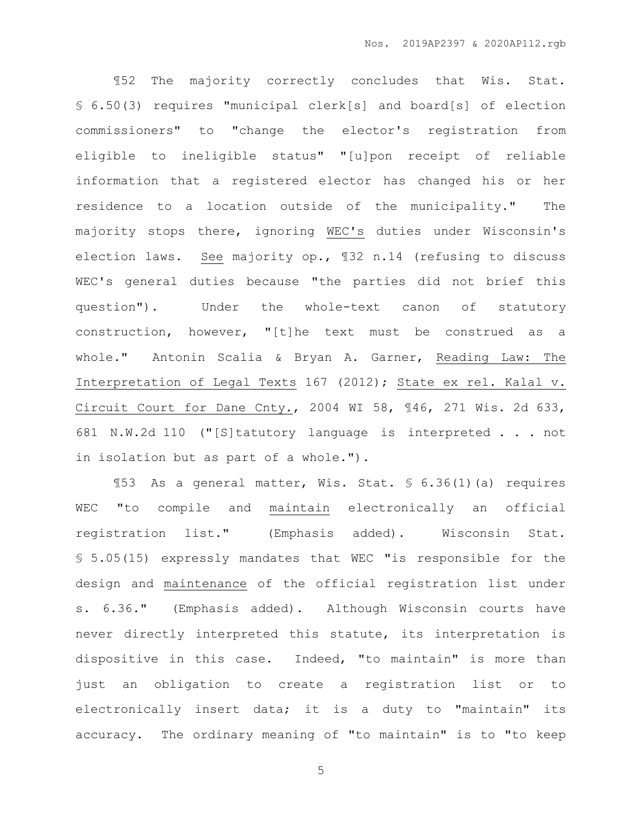¶52 The majority correctly concludes that Wis. Stat. § 6.50(3) requires "municipal clerk[s] and board[s] of election commissioners" to "change the elector's registration from eligible to ineligible status" "[u]pon receipt of reliable information that a registered elector has changed his or her residence to a location outside of the municipality." The majority stops there, ignoring WEC's duties under Wisconsin's election laws. See majority op., ¶32 n.14 (refusing to discuss WEC's general duties because "the parties did not brief this question"). Under the whole-text canon of statutory construction, however, "[t]he text must be construed as a whole." Antonin Scalia & Bryan A. Garner, Reading Law: The Interpretation of Legal Texts 167 (2012); State ex rel. Kalal v. Circuit Court for Dane Cnty., 2004 WI 58, ¶46, 271 Wis. 2d 633, 681 N.W.2d 110 ("[S]tatutory language is interpreted . . . not in isolation but as part of a whole.").

¶53 As a general matter, Wis. Stat. § 6.36(1)(a) requires WEC "to compile and maintain electronically an official registration list." (Emphasis added). Wisconsin Stat. § 5.05(15) expressly mandates that WEC "is responsible for the design and maintenance of the official registration list under s. 6.36." (Emphasis added). Although Wisconsin courts have never directly interpreted this statute, its interpretation is dispositive in this case. Indeed, "to maintain" is more than just an obligation to create a registration list or to electronically insert data; it is a duty to "maintain" its accuracy. The ordinary meaning of "to maintain" is to "to keep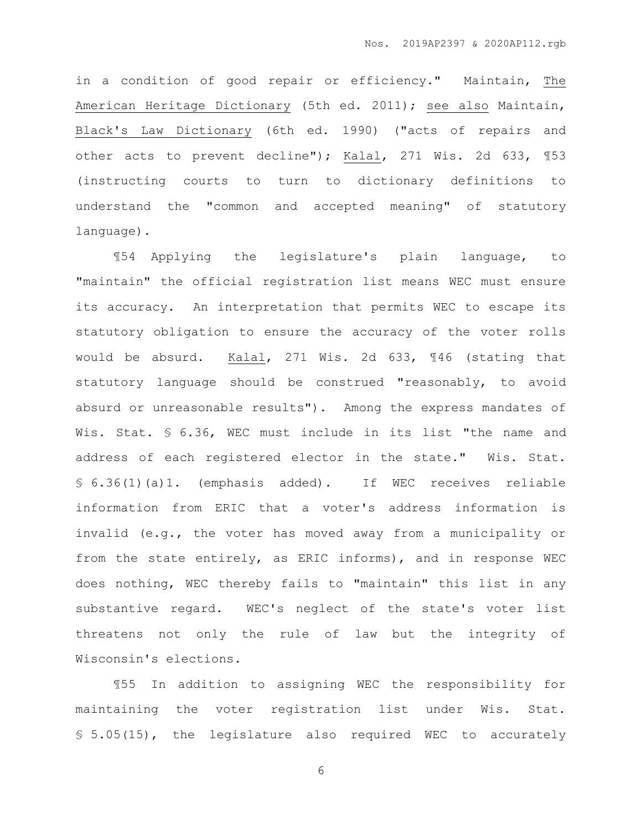in a condition of good repair or efficiency." Maintain, The American Heritage Dictionary (5th ed. 2011); see also Maintain, Black's Law Dictionary (6th ed. 1990) ("acts of repairs and other acts to prevent decline"); Kalal, 271 Wis. 2d 633, ¶53 (instructing courts to turn to dictionary definitions to understand the "common and accepted meaning" of statutory language).

¶54 Applying the legislature's plain language, to "maintain" the official registration list means WEC must ensure its accuracy. An interpretation that permits WEC to escape its statutory obligation to ensure the accuracy of the voter rolls would be absurd. Kalal, 271 Wis. 2d 633, ¶46 (stating that statutory language should be construed "reasonably, to avoid absurd or unreasonable results"). Among the express mandates of Wis. Stat. § 6.36, WEC must include in its list "the name and address of each registered elector in the state." Wis. Stat. § 6.36(1)(a)1. (emphasis added). If WEC receives reliable information from ERIC that a voter's address information is invalid (e.g., the voter has moved away from a municipality or from the state entirely, as ERIC informs), and in response WEC does nothing, WEC thereby fails to "maintain" this list in any substantive regard. WEC's neglect of the state's voter list threatens not only the rule of law but the integrity of Wisconsin's elections.

¶55 In addition to assigning WEC the responsibility for maintaining the voter registration list under Wis. Stat. § 5.05(15), the legislature also required WEC to accurately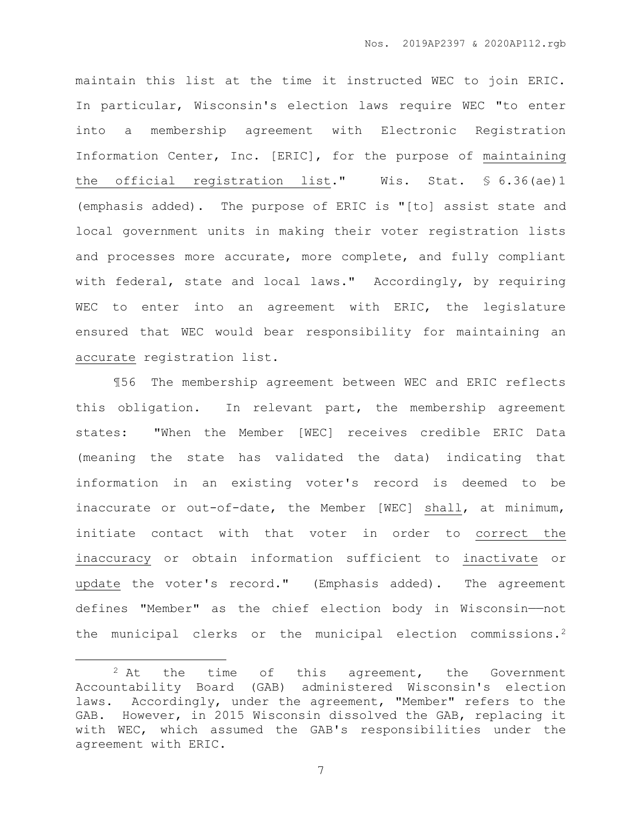maintain this list at the time it instructed WEC to join ERIC. In particular, Wisconsin's election laws require WEC "to enter into a membership agreement with Electronic Registration Information Center, Inc. [ERIC], for the purpose of maintaining the official registration list." Wis. Stat. § 6.36(ae)1 (emphasis added). The purpose of ERIC is "[to] assist state and local government units in making their voter registration lists and processes more accurate, more complete, and fully compliant with federal, state and local laws." Accordingly, by requiring WEC to enter into an agreement with ERIC, the legislature ensured that WEC would bear responsibility for maintaining an accurate registration list.

¶56 The membership agreement between WEC and ERIC reflects this obligation. In relevant part, the membership agreement states: "When the Member [WEC] receives credible ERIC Data (meaning the state has validated the data) indicating that information in an existing voter's record is deemed to be inaccurate or out-of-date, the Member [WEC] shall, at minimum, initiate contact with that voter in order to correct the inaccuracy or obtain information sufficient to inactivate or update the voter's record." (Emphasis added). The agreement defines "Member" as the chief election body in Wisconsin——not the municipal clerks or the municipal election commissions.<sup>2</sup>

 $\overline{a}$ 

<sup>&</sup>lt;sup>2</sup> At the time of this agreement, the Government Accountability Board (GAB) administered Wisconsin's election laws. Accordingly, under the agreement, "Member" refers to the GAB. However, in 2015 Wisconsin dissolved the GAB, replacing it with WEC, which assumed the GAB's responsibilities under the agreement with ERIC.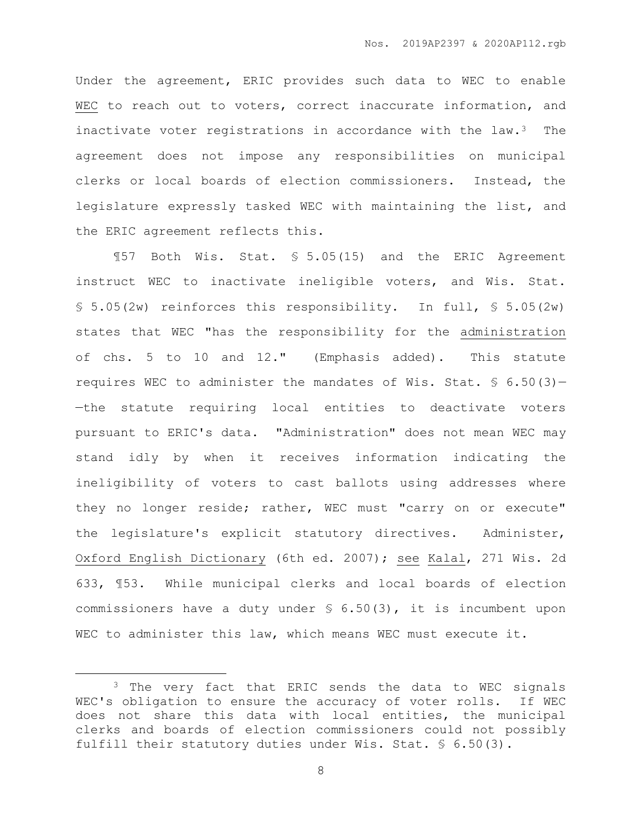Under the agreement, ERIC provides such data to WEC to enable WEC to reach out to voters, correct inaccurate information, and inactivate voter registrations in accordance with the law.3 The agreement does not impose any responsibilities on municipal clerks or local boards of election commissioners. Instead, the legislature expressly tasked WEC with maintaining the list, and the ERIC agreement reflects this.

¶57 Both Wis. Stat. § 5.05(15) and the ERIC Agreement instruct WEC to inactivate ineligible voters, and Wis. Stat.  $$5.05(2w)$  reinforces this responsibility. In full,  $$5.05(2w)$ states that WEC "has the responsibility for the administration of chs. 5 to 10 and 12." (Emphasis added). This statute requires WEC to administer the mandates of Wis. Stat.  $\frac{6}{5}$  6.50(3)-—the statute requiring local entities to deactivate voters pursuant to ERIC's data. "Administration" does not mean WEC may stand idly by when it receives information indicating the ineligibility of voters to cast ballots using addresses where they no longer reside; rather, WEC must "carry on or execute" the legislature's explicit statutory directives. Administer, Oxford English Dictionary (6th ed. 2007); see Kalal, 271 Wis. 2d 633, ¶53. While municipal clerks and local boards of election commissioners have a duty under § 6.50(3), it is incumbent upon WEC to administer this law, which means WEC must execute it.

 $\overline{a}$ 

<sup>&</sup>lt;sup>3</sup> The very fact that ERIC sends the data to WEC signals WEC's obligation to ensure the accuracy of voter rolls. If WEC does not share this data with local entities, the municipal clerks and boards of election commissioners could not possibly fulfill their statutory duties under Wis. Stat. § 6.50(3).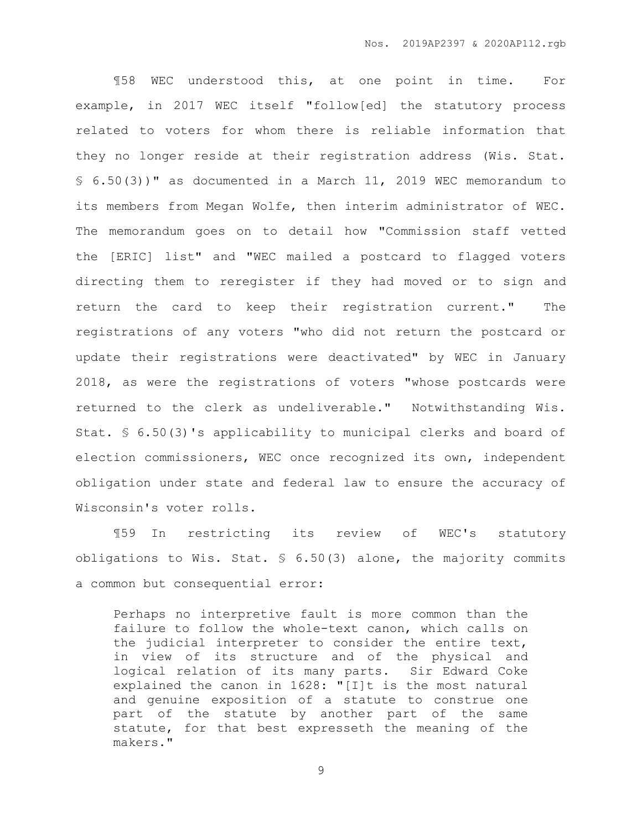¶58 WEC understood this, at one point in time. For example, in 2017 WEC itself "follow[ed] the statutory process related to voters for whom there is reliable information that they no longer reside at their registration address (Wis. Stat. § 6.50(3))" as documented in a March 11, 2019 WEC memorandum to its members from Megan Wolfe, then interim administrator of WEC. The memorandum goes on to detail how "Commission staff vetted the [ERIC] list" and "WEC mailed a postcard to flagged voters directing them to reregister if they had moved or to sign and return the card to keep their registration current." The registrations of any voters "who did not return the postcard or update their registrations were deactivated" by WEC in January 2018, as were the registrations of voters "whose postcards were returned to the clerk as undeliverable." Notwithstanding Wis. Stat. § 6.50(3)'s applicability to municipal clerks and board of election commissioners, WEC once recognized its own, independent obligation under state and federal law to ensure the accuracy of Wisconsin's voter rolls.

¶59 In restricting its review of WEC's statutory obligations to Wis. Stat. § 6.50(3) alone, the majority commits a common but consequential error:

Perhaps no interpretive fault is more common than the failure to follow the whole-text canon, which calls on the judicial interpreter to consider the entire text, in view of its structure and of the physical and logical relation of its many parts. Sir Edward Coke explained the canon in 1628: "[I]t is the most natural and genuine exposition of a statute to construe one part of the statute by another part of the same statute, for that best expresseth the meaning of the makers."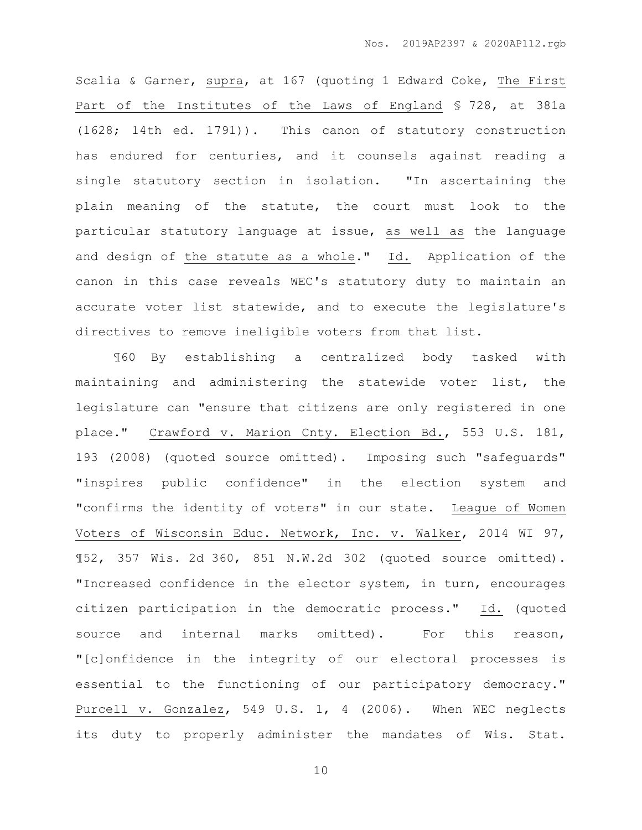Scalia & Garner, supra, at 167 (quoting 1 Edward Coke, The First Part of the Institutes of the Laws of England § 728, at 381a (1628; 14th ed. 1791)). This canon of statutory construction has endured for centuries, and it counsels against reading a single statutory section in isolation. "In ascertaining the plain meaning of the statute, the court must look to the particular statutory language at issue, as well as the language and design of the statute as a whole." Id. Application of the canon in this case reveals WEC's statutory duty to maintain an accurate voter list statewide, and to execute the legislature's directives to remove ineligible voters from that list.

¶60 By establishing a centralized body tasked with maintaining and administering the statewide voter list, the legislature can "ensure that citizens are only registered in one place." Crawford v. Marion Cnty. Election Bd., 553 U.S. 181, 193 (2008) (quoted source omitted). Imposing such "safeguards" "inspires public confidence" in the election system and "confirms the identity of voters" in our state. League of Women Voters of Wisconsin Educ. Network, Inc. v. Walker, 2014 WI 97, ¶52, 357 Wis. 2d 360, 851 N.W.2d 302 (quoted source omitted). "Increased confidence in the elector system, in turn, encourages citizen participation in the democratic process." Id. (quoted source and internal marks omitted). For this reason, "[c]onfidence in the integrity of our electoral processes is essential to the functioning of our participatory democracy." Purcell v. Gonzalez, 549 U.S. 1, 4 (2006). When WEC neglects its duty to properly administer the mandates of Wis. Stat.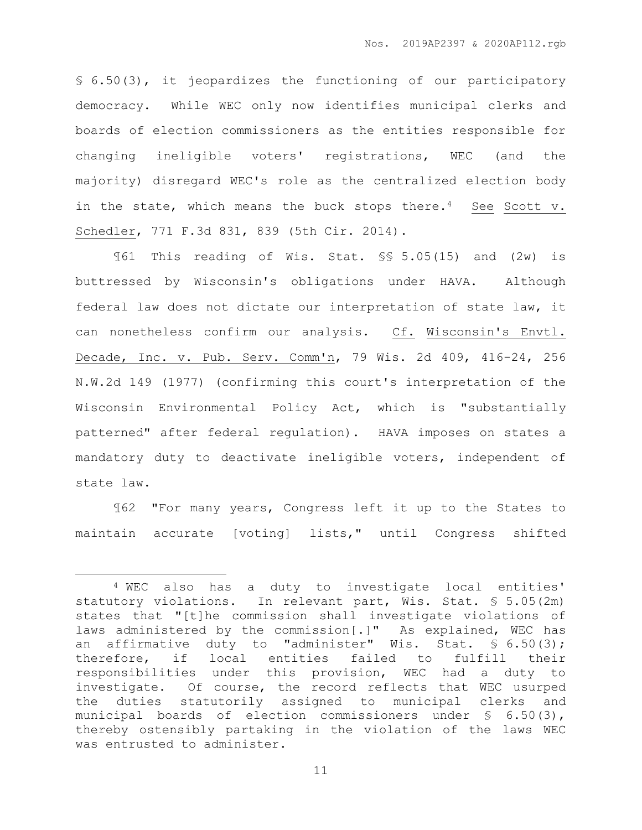§ 6.50(3), it jeopardizes the functioning of our participatory democracy. While WEC only now identifies municipal clerks and boards of election commissioners as the entities responsible for changing ineligible voters' registrations, WEC (and the majority) disregard WEC's role as the centralized election body in the state, which means the buck stops there.<sup>4</sup> See Scott v. Schedler, 771 F.3d 831, 839 (5th Cir. 2014).

¶61 This reading of Wis. Stat. §§ 5.05(15) and (2w) is buttressed by Wisconsin's obligations under HAVA. Although federal law does not dictate our interpretation of state law, it can nonetheless confirm our analysis. Cf. Wisconsin's Envtl. Decade, Inc. v. Pub. Serv. Comm'n, 79 Wis. 2d 409, 416-24, 256 N.W.2d 149 (1977) (confirming this court's interpretation of the Wisconsin Environmental Policy Act, which is "substantially patterned" after federal regulation). HAVA imposes on states a mandatory duty to deactivate ineligible voters, independent of state law.

¶62 "For many years, Congress left it up to the States to maintain accurate [voting] lists," until Congress shifted

 $\overline{a}$ 

<sup>4</sup> WEC also has a duty to investigate local entities' statutory violations. In relevant part, Wis. Stat. § 5.05(2m) states that "[t]he commission shall investigate violations of laws administered by the commission[.]" As explained, WEC has an affirmative duty to "administer" Wis. Stat. § 6.50(3); therefore, if local entities failed to fulfill their responsibilities under this provision, WEC had a duty to investigate. Of course, the record reflects that WEC usurped the duties statutorily assigned to municipal clerks and municipal boards of election commissioners under § 6.50(3), thereby ostensibly partaking in the violation of the laws WEC was entrusted to administer.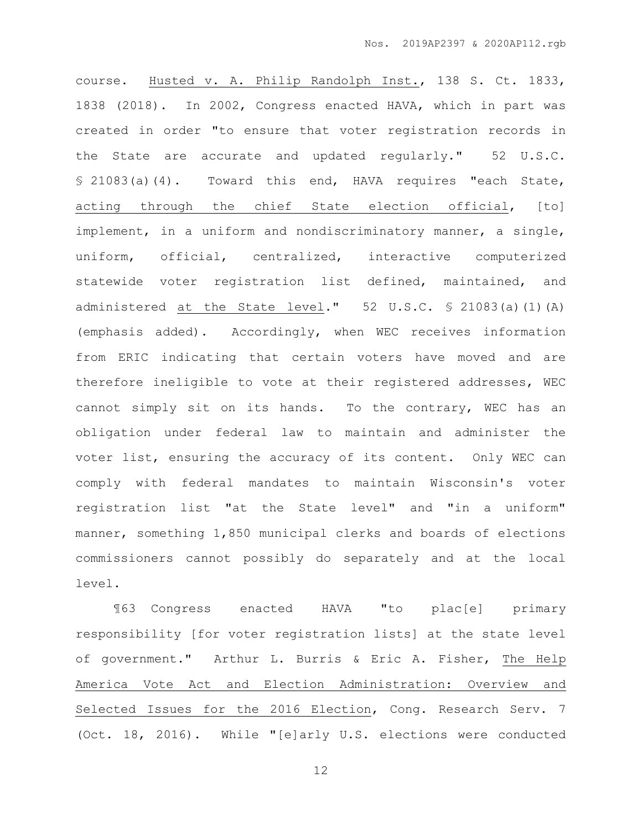course. Husted v. A. Philip Randolph Inst., 138 S. Ct. 1833, 1838 (2018). In 2002, Congress enacted HAVA, which in part was created in order "to ensure that voter registration records in the State are accurate and updated regularly." 52 U.S.C. § 21083(a)(4). Toward this end, HAVA requires "each State, acting through the chief State election official, [to] implement, in a uniform and nondiscriminatory manner, a single, uniform, official, centralized, interactive computerized statewide voter registration list defined, maintained, and administered at the State level." 52 U.S.C. § 21083(a)(1)(A) (emphasis added). Accordingly, when WEC receives information from ERIC indicating that certain voters have moved and are therefore ineligible to vote at their registered addresses, WEC cannot simply sit on its hands. To the contrary, WEC has an obligation under federal law to maintain and administer the voter list, ensuring the accuracy of its content. Only WEC can comply with federal mandates to maintain Wisconsin's voter registration list "at the State level" and "in a uniform" manner, something 1,850 municipal clerks and boards of elections commissioners cannot possibly do separately and at the local level.

¶63 Congress enacted HAVA "to plac[e] primary responsibility [for voter registration lists] at the state level of government." Arthur L. Burris & Eric A. Fisher, The Help America Vote Act and Election Administration: Overview and Selected Issues for the 2016 Election, Cong. Research Serv. 7 (Oct. 18, 2016). While "[e]arly U.S. elections were conducted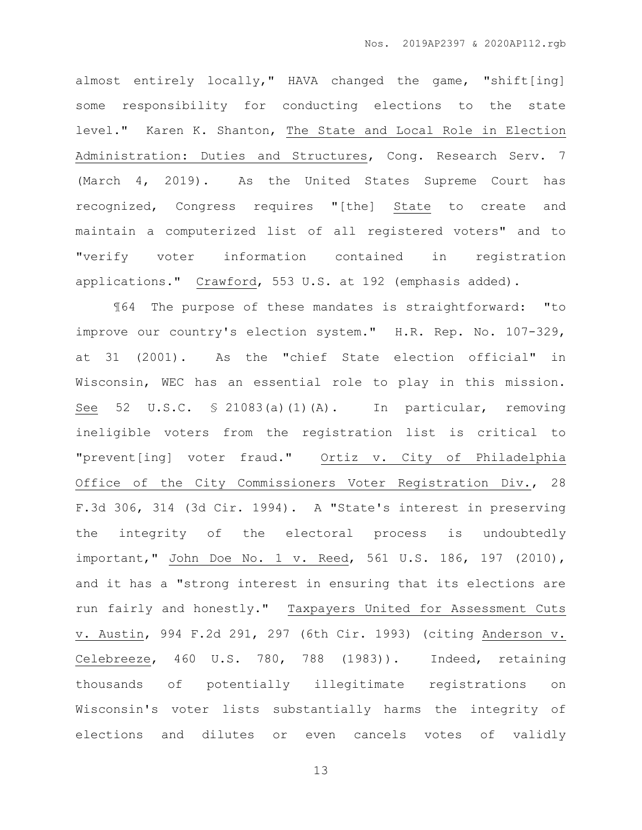almost entirely locally," HAVA changed the game, "shift[ing] some responsibility for conducting elections to the state level." Karen K. Shanton, The State and Local Role in Election Administration: Duties and Structures, Cong. Research Serv. 7 (March 4, 2019). As the United States Supreme Court has recognized, Congress requires "[the] State to create and maintain a computerized list of all registered voters" and to "verify voter information contained in registration applications." Crawford, 553 U.S. at 192 (emphasis added).

¶64 The purpose of these mandates is straightforward: "to improve our country's election system." H.R. Rep. No. 107-329, at 31 (2001). As the "chief State election official" in Wisconsin, WEC has an essential role to play in this mission. See 52 U.S.C. § 21083(a)(1)(A). In particular, removing ineligible voters from the registration list is critical to "prevent[ing] voter fraud." Ortiz v. City of Philadelphia Office of the City Commissioners Voter Registration Div., 28 F.3d 306, 314 (3d Cir. 1994). A "State's interest in preserving the integrity of the electoral process is undoubtedly important," John Doe No. 1 v. Reed, 561 U.S. 186, 197 (2010), and it has a "strong interest in ensuring that its elections are run fairly and honestly." Taxpayers United for Assessment Cuts v. Austin, 994 F.2d 291, 297 (6th Cir. 1993) (citing Anderson v. Celebreeze, 460 U.S. 780, 788 (1983)). Indeed, retaining thousands of potentially illegitimate registrations on Wisconsin's voter lists substantially harms the integrity of elections and dilutes or even cancels votes of validly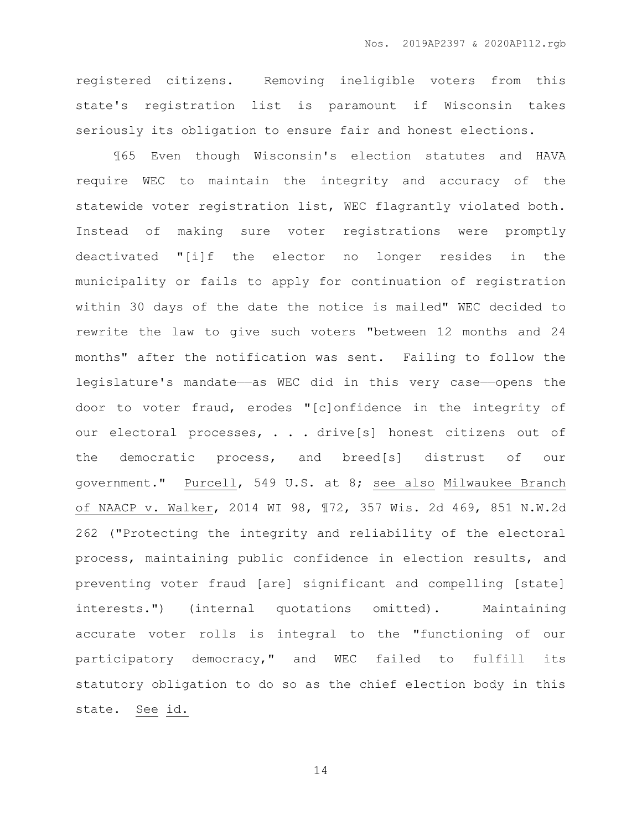registered citizens. Removing ineligible voters from this state's registration list is paramount if Wisconsin takes seriously its obligation to ensure fair and honest elections.

¶65 Even though Wisconsin's election statutes and HAVA require WEC to maintain the integrity and accuracy of the statewide voter registration list, WEC flagrantly violated both. Instead of making sure voter registrations were promptly deactivated "[i]f the elector no longer resides in the municipality or fails to apply for continuation of registration within 30 days of the date the notice is mailed" WEC decided to rewrite the law to give such voters "between 12 months and 24 months" after the notification was sent. Failing to follow the legislature's mandate—as WEC did in this very case—opens the door to voter fraud, erodes "[c]onfidence in the integrity of our electoral processes, . . . drive[s] honest citizens out of the democratic process, and breed[s] distrust of our government." Purcell, 549 U.S. at 8; see also Milwaukee Branch of NAACP v. Walker, 2014 WI 98, ¶72, 357 Wis. 2d 469, 851 N.W.2d 262 ("Protecting the integrity and reliability of the electoral process, maintaining public confidence in election results, and preventing voter fraud [are] significant and compelling [state] interests.") (internal quotations omitted). Maintaining accurate voter rolls is integral to the "functioning of our participatory democracy," and WEC failed to fulfill its statutory obligation to do so as the chief election body in this state. See id.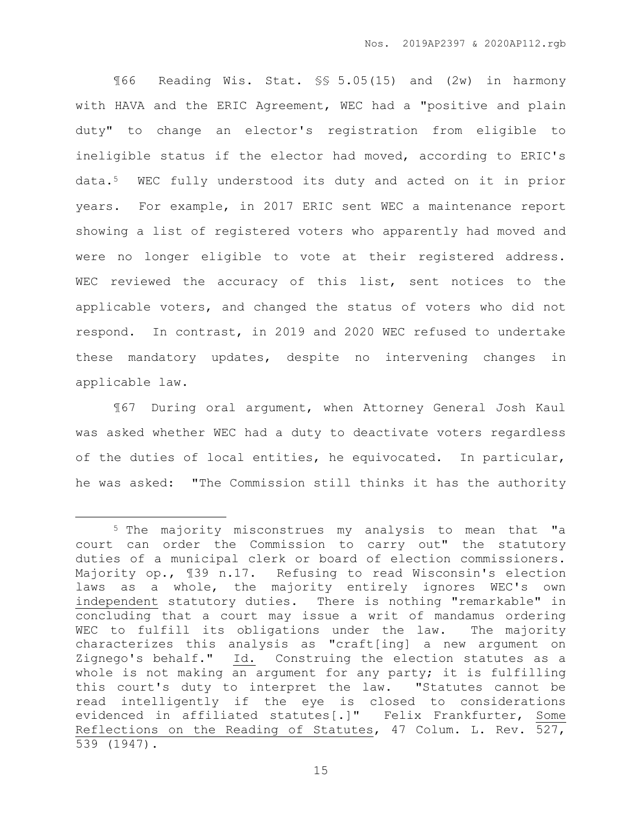¶66 Reading Wis. Stat. §§ 5.05(15) and (2w) in harmony with HAVA and the ERIC Agreement, WEC had a "positive and plain duty" to change an elector's registration from eligible to ineligible status if the elector had moved, according to ERIC's data.5 WEC fully understood its duty and acted on it in prior years. For example, in 2017 ERIC sent WEC a maintenance report showing a list of registered voters who apparently had moved and were no longer eligible to vote at their registered address. WEC reviewed the accuracy of this list, sent notices to the applicable voters, and changed the status of voters who did not respond. In contrast, in 2019 and 2020 WEC refused to undertake these mandatory updates, despite no intervening changes in applicable law.

¶67 During oral argument, when Attorney General Josh Kaul was asked whether WEC had a duty to deactivate voters regardless of the duties of local entities, he equivocated. In particular, he was asked: "The Commission still thinks it has the authority

 $\overline{a}$ 

<sup>5</sup> The majority misconstrues my analysis to mean that "a court can order the Commission to carry out" the statutory duties of a municipal clerk or board of election commissioners. Majority op., ¶39 n.17. Refusing to read Wisconsin's election laws as a whole, the majority entirely ignores WEC's own independent statutory duties. There is nothing "remarkable" in concluding that a court may issue a writ of mandamus ordering WEC to fulfill its obligations under the law. The majority characterizes this analysis as "craft[ing] a new argument on Zignego's behalf."  $\underline{Id.}$  Construing the election statutes as a whole is not making an argument for any party; it is fulfilling this court's duty to interpret the law. "Statutes cannot be read intelligently if the eye is closed to considerations evidenced in affiliated statutes[.]" Felix Frankfurter, Some Reflections on the Reading of Statutes, 47 Colum. L. Rev. 527, 539 (1947).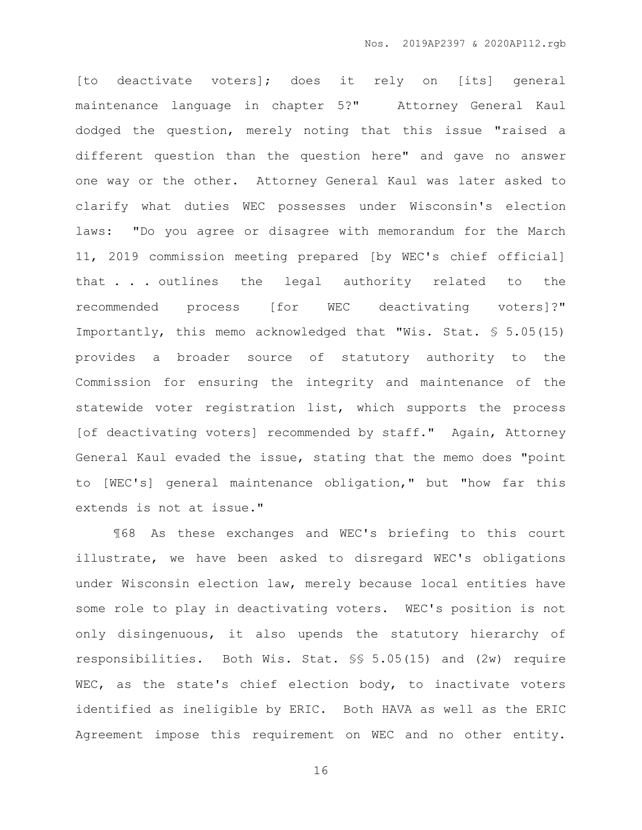[to deactivate voters]; does it rely on [its] general maintenance language in chapter 5?" Attorney General Kaul dodged the question, merely noting that this issue "raised a different question than the question here" and gave no answer one way or the other. Attorney General Kaul was later asked to clarify what duties WEC possesses under Wisconsin's election laws: "Do you agree or disagree with memorandum for the March 11, 2019 commission meeting prepared [by WEC's chief official] that . . . outlines the legal authority related to the recommended process [for WEC deactivating voters]?" Importantly, this memo acknowledged that "Wis. Stat. § 5.05(15) provides a broader source of statutory authority to the Commission for ensuring the integrity and maintenance of the statewide voter registration list, which supports the process [of deactivating voters] recommended by staff." Again, Attorney General Kaul evaded the issue, stating that the memo does "point to [WEC's] general maintenance obligation," but "how far this extends is not at issue."

¶68 As these exchanges and WEC's briefing to this court illustrate, we have been asked to disregard WEC's obligations under Wisconsin election law, merely because local entities have some role to play in deactivating voters. WEC's position is not only disingenuous, it also upends the statutory hierarchy of responsibilities. Both Wis. Stat. §§ 5.05(15) and (2w) require WEC, as the state's chief election body, to inactivate voters identified as ineligible by ERIC. Both HAVA as well as the ERIC Agreement impose this requirement on WEC and no other entity.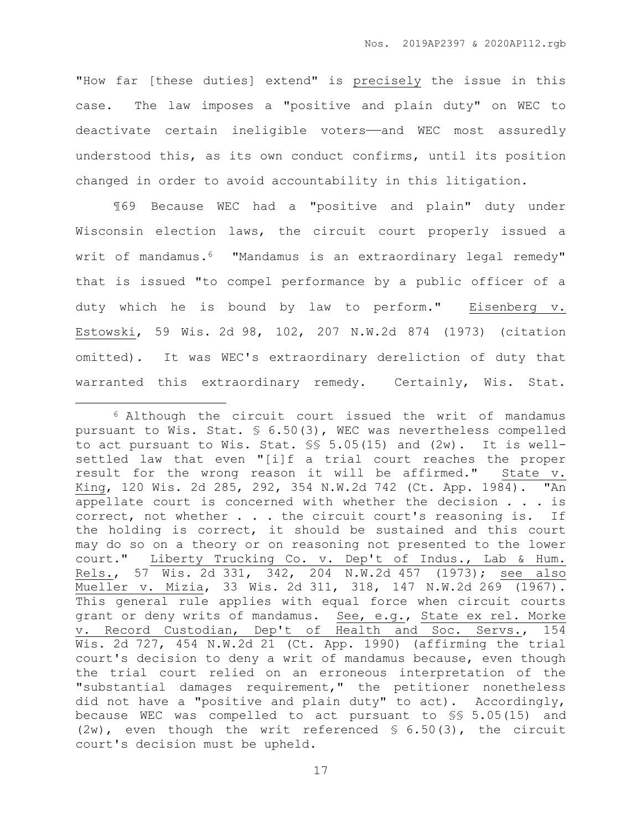"How far [these duties] extend" is precisely the issue in this case. The law imposes a "positive and plain duty" on WEC to deactivate certain ineligible voters——and WEC most assuredly understood this, as its own conduct confirms, until its position changed in order to avoid accountability in this litigation.

¶69 Because WEC had a "positive and plain" duty under Wisconsin election laws, the circuit court properly issued a writ of mandamus.<sup>6</sup> "Mandamus is an extraordinary legal remedy" that is issued "to compel performance by a public officer of a duty which he is bound by law to perform." Eisenberg v. Estowski, 59 Wis. 2d 98, 102, 207 N.W.2d 874 (1973) (citation omitted). It was WEC's extraordinary dereliction of duty that warranted this extraordinary remedy. Certainly, Wis. Stat.

 $\overline{a}$ 

<sup>6</sup> Although the circuit court issued the writ of mandamus pursuant to Wis. Stat. § 6.50(3), WEC was nevertheless compelled to act pursuant to Wis. Stat.  $\S$  5.05(15) and (2w). It is wellsettled law that even "[i]f a trial court reaches the proper result for the wrong reason it will be affirmed." State v. King, 120 Wis. 2d 285, 292, 354 N.W.2d 742 (Ct. App. 1984). "An appellate court is concerned with whether the decision . . . is correct, not whether . . . the circuit court's reasoning is. If the holding is correct, it should be sustained and this court may do so on a theory or on reasoning not presented to the lower court." Liberty Trucking Co. v. Dep't of Indus., Lab & Hum. Rels., 57 Wis. 2d 331, 342, 204 N.W.2d 457 (1973); see also Mueller v. Mizia, 33 Wis. 2d 311, 318, 147 N.W.2d 269 (1967). This general rule applies with equal force when circuit courts grant or deny writs of mandamus. See, e.g., State ex rel. Morke v. Record Custodian, Dep't of Health and Soc. Servs., 154 Wis. 2d 727, 454 N.W.2d 21 (Ct. App. 1990) (affirming the trial court's decision to deny a writ of mandamus because, even though the trial court relied on an erroneous interpretation of the "substantial damages requirement," the petitioner nonetheless did not have a "positive and plain duty" to act). Accordingly, because WEC was compelled to act pursuant to §§ 5.05(15) and  $(2w)$ , even though the writ referenced § 6.50(3), the circuit court's decision must be upheld.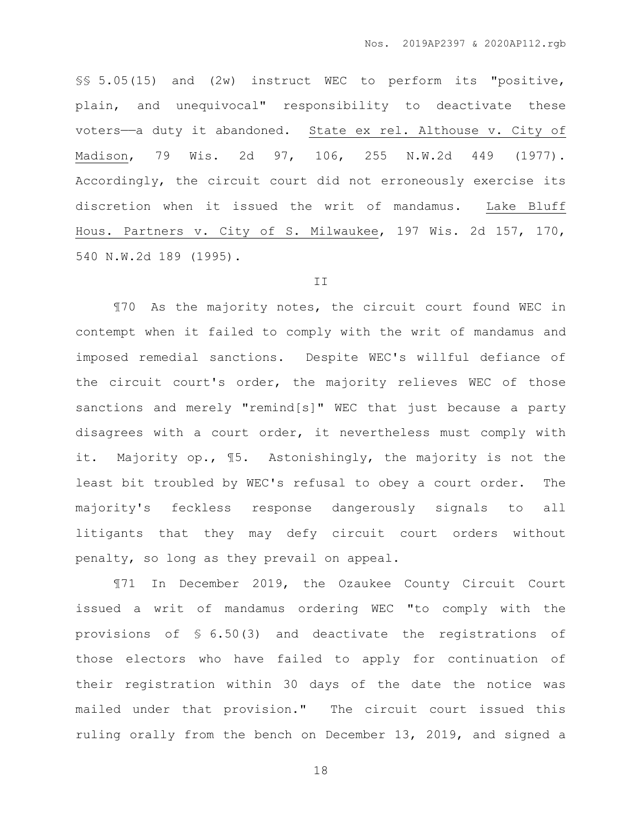§§ 5.05(15) and (2w) instruct WEC to perform its "positive, plain, and unequivocal" responsibility to deactivate these voters——a duty it abandoned. State ex rel. Althouse v. City of Madison, 79 Wis. 2d 97, 106, 255 N.W.2d 449 (1977). Accordingly, the circuit court did not erroneously exercise its discretion when it issued the writ of mandamus. Lake Bluff Hous. Partners v. City of S. Milwaukee, 197 Wis. 2d 157, 170, 540 N.W.2d 189 (1995).

#### II

¶70 As the majority notes, the circuit court found WEC in contempt when it failed to comply with the writ of mandamus and imposed remedial sanctions. Despite WEC's willful defiance of the circuit court's order, the majority relieves WEC of those sanctions and merely "remind[s]" WEC that just because a party disagrees with a court order, it nevertheless must comply with it. Majority op., ¶5. Astonishingly, the majority is not the least bit troubled by WEC's refusal to obey a court order. The majority's feckless response dangerously signals to all litigants that they may defy circuit court orders without penalty, so long as they prevail on appeal.

¶71 In December 2019, the Ozaukee County Circuit Court issued a writ of mandamus ordering WEC "to comply with the provisions of § 6.50(3) and deactivate the registrations of those electors who have failed to apply for continuation of their registration within 30 days of the date the notice was mailed under that provision." The circuit court issued this ruling orally from the bench on December 13, 2019, and signed a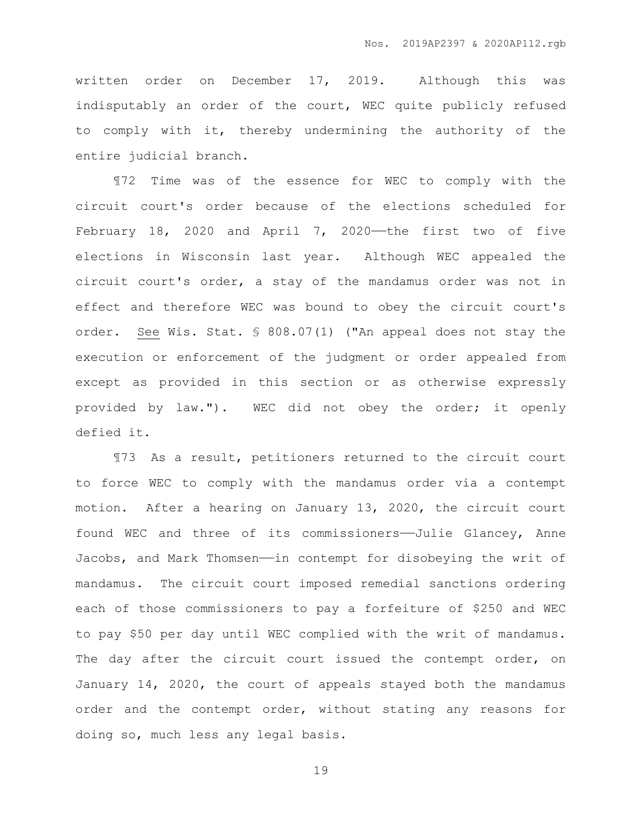written order on December 17, 2019. Although this was indisputably an order of the court, WEC quite publicly refused to comply with it, thereby undermining the authority of the entire judicial branch.

¶72 Time was of the essence for WEC to comply with the circuit court's order because of the elections scheduled for February 18, 2020 and April 7, 2020—the first two of five elections in Wisconsin last year. Although WEC appealed the circuit court's order, a stay of the mandamus order was not in effect and therefore WEC was bound to obey the circuit court's order. See Wis. Stat. § 808.07(1) ("An appeal does not stay the execution or enforcement of the judgment or order appealed from except as provided in this section or as otherwise expressly provided by law."). WEC did not obey the order; it openly defied it.

¶73 As a result, petitioners returned to the circuit court to force WEC to comply with the mandamus order via a contempt motion. After a hearing on January 13, 2020, the circuit court found WEC and three of its commissioners——Julie Glancey, Anne Jacobs, and Mark Thomsen—in contempt for disobeying the writ of mandamus. The circuit court imposed remedial sanctions ordering each of those commissioners to pay a forfeiture of \$250 and WEC to pay \$50 per day until WEC complied with the writ of mandamus. The day after the circuit court issued the contempt order, on January 14, 2020, the court of appeals stayed both the mandamus order and the contempt order, without stating any reasons for doing so, much less any legal basis.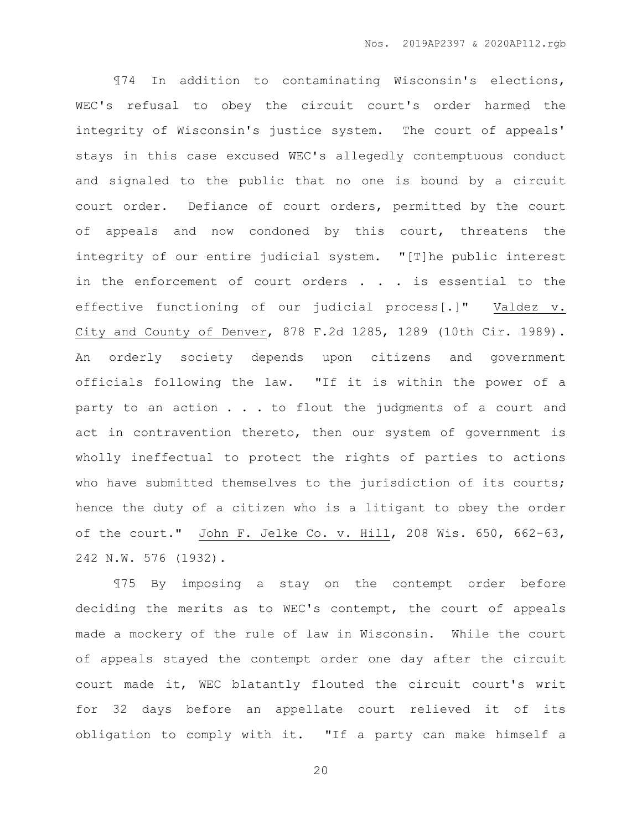¶74 In addition to contaminating Wisconsin's elections, WEC's refusal to obey the circuit court's order harmed the integrity of Wisconsin's justice system. The court of appeals' stays in this case excused WEC's allegedly contemptuous conduct and signaled to the public that no one is bound by a circuit court order. Defiance of court orders, permitted by the court of appeals and now condoned by this court, threatens the integrity of our entire judicial system. "[T]he public interest in the enforcement of court orders . . . is essential to the effective functioning of our judicial process[.]" Valdez v. City and County of Denver, 878 F.2d 1285, 1289 (10th Cir. 1989). An orderly society depends upon citizens and government officials following the law. "If it is within the power of a party to an action . . . to flout the judgments of a court and act in contravention thereto, then our system of government is wholly ineffectual to protect the rights of parties to actions who have submitted themselves to the jurisdiction of its courts; hence the duty of a citizen who is a litigant to obey the order of the court." John F. Jelke Co. v. Hill, 208 Wis. 650, 662-63, 242 N.W. 576 (1932).

¶75 By imposing a stay on the contempt order before deciding the merits as to WEC's contempt, the court of appeals made a mockery of the rule of law in Wisconsin. While the court of appeals stayed the contempt order one day after the circuit court made it, WEC blatantly flouted the circuit court's writ for 32 days before an appellate court relieved it of its obligation to comply with it. "If a party can make himself a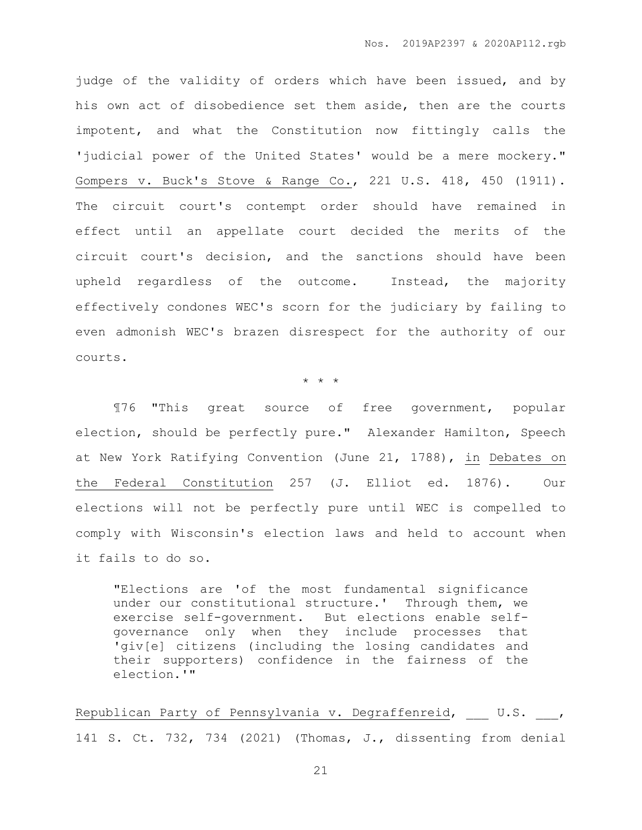judge of the validity of orders which have been issued, and by his own act of disobedience set them aside, then are the courts impotent, and what the Constitution now fittingly calls the 'judicial power of the United States' would be a mere mockery." Gompers v. Buck's Stove & Range Co., 221 U.S. 418, 450 (1911). The circuit court's contempt order should have remained in effect until an appellate court decided the merits of the circuit court's decision, and the sanctions should have been upheld regardless of the outcome. Instead, the majority effectively condones WEC's scorn for the judiciary by failing to even admonish WEC's brazen disrespect for the authority of our courts.

\* \* \*

¶76 "This great source of free government, popular election, should be perfectly pure." Alexander Hamilton, Speech at New York Ratifying Convention (June 21, 1788), in Debates on the Federal Constitution 257 (J. Elliot ed. 1876). Our elections will not be perfectly pure until WEC is compelled to comply with Wisconsin's election laws and held to account when it fails to do so.

"Elections are 'of the most fundamental significance under our constitutional structure.' Through them, we exercise self-government. But elections enable selfgovernance only when they include processes that 'giv[e] citizens (including the losing candidates and their supporters) confidence in the fairness of the election.'"

Republican Party of Pennsylvania v. Degraffenreid, U.S. , 141 S. Ct. 732, 734 (2021) (Thomas, J., dissenting from denial